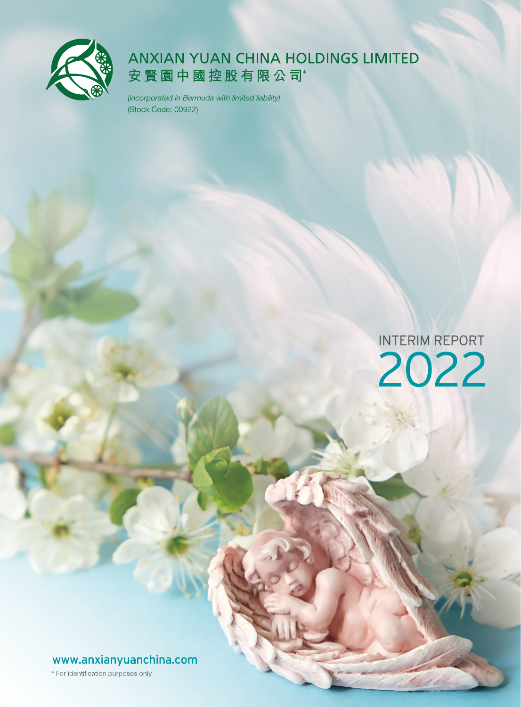

# **ANXIAN YUAN CHINA HOLDINGS LIMITED** 安賢園中國控股有限公司\*

(incorporated in Bermuda with limited liability) (Stock Code: 00922)

> **INTERIM REPORT** 2022

www.anxianyuanchina.com

\* For identification purposes only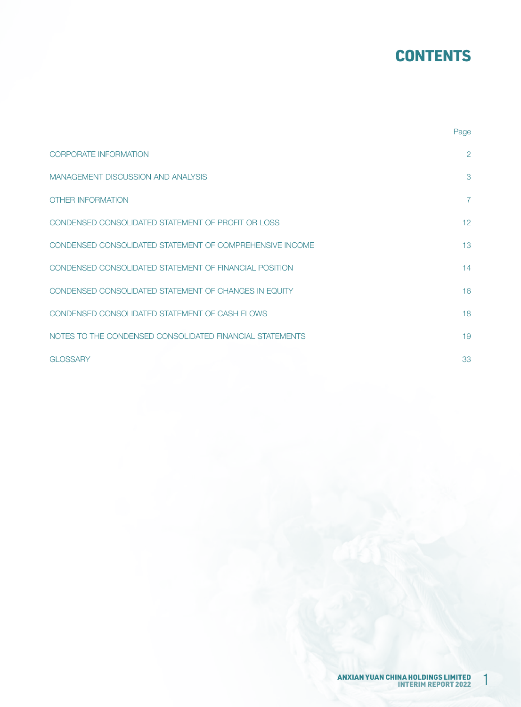# **CONTENTS**

|                                                          | Page            |
|----------------------------------------------------------|-----------------|
| <b>CORPORATE INFORMATION</b>                             | 2               |
| <b>MANAGEMENT DISCUSSION AND ANALYSIS</b>                | 3               |
| <b>OTHER INFORMATION</b>                                 | $\overline{7}$  |
| CONDENSED CONSOLIDATED STATEMENT OF PROFIT OR LOSS       | 12 <sup>°</sup> |
| CONDENSED CONSOLIDATED STATEMENT OF COMPREHENSIVE INCOME | 13              |
| CONDENSED CONSOLIDATED STATEMENT OF FINANCIAL POSITION   | 14              |
| CONDENSED CONSOLIDATED STATEMENT OF CHANGES IN EQUITY    | 16              |
| CONDENSED CONSOLIDATED STATEMENT OF CASH FLOWS           | 18              |
| NOTES TO THE CONDENSED CONSOLIDATED FINANCIAL STATEMENTS | 19              |
| <b>GLOSSARY</b>                                          | 33              |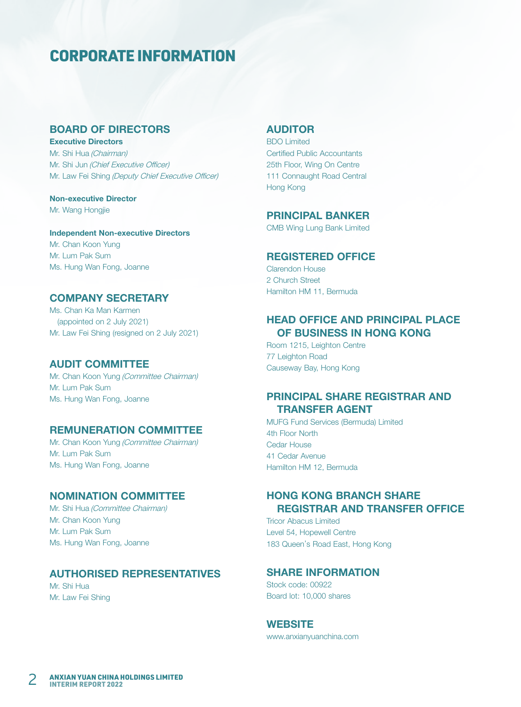# CORPORATE INFORMATION

## BOARD OF DIRECTORS

Executive Directors Mr. Shi Hua (Chairman) Mr. Shi Jun (Chief Executive Officer) Mr. Law Fei Shing (Deputy Chief Executive Officer)

Non-executive Director Mr. Wang Hongjie

Independent Non-executive Directors Mr. Chan Koon Yung Mr. Lum Pak Sum Ms. Hung Wan Fong, Joanne

### COMPANY SECRETARY

Ms. Chan Ka Man Karmen (appointed on 2 July 2021) Mr. Law Fei Shing (resigned on 2 July 2021)

### AUDIT COMMITTEE

Mr. Chan Koon Yung (Committee Chairman) Mr. Lum Pak Sum Ms. Hung Wan Fong, Joanne

### REMUNERATION COMMITTEE

Mr. Chan Koon Yung (Committee Chairman) Mr. Lum Pak Sum Ms. Hung Wan Fong, Joanne

### NOMINATION COMMITTEE

Mr. Shi Hua (Committee Chairman) Mr. Chan Koon Yung Mr. Lum Pak Sum Ms. Hung Wan Fong, Joanne

### AUTHORISED REPRESENTATIVES

Mr. Shi Hua Mr. Law Fei Shing

### AUDITOR

BDO Limited Certified Public Accountants 25th Floor, Wing On Centre 111 Connaught Road Central Hong Kong

### PRINCIPAL BANKER

CMB Wing Lung Bank Limited

### REGISTERED OFFICE

Clarendon House 2 Church Street Hamilton HM 11, Bermuda

## HEAD OFFICE AND PRINCIPAL PLACE OF BUSINESS IN HONG KONG

Room 1215, Leighton Centre 77 Leighton Road Causeway Bay, Hong Kong

### PRINCIPAL SHARE REGISTRAR AND TRANSFER AGENT

MUFG Fund Services (Bermuda) Limited 4th Floor North Cedar House 41 Cedar Avenue Hamilton HM 12, Bermuda

## HONG KONG BRANCH SHARE REGISTRAR AND TRANSFER OFFICE

Tricor Abacus Limited Level 54, Hopewell Centre 183 Queen's Road East, Hong Kong

### SHARE INFORMATION

Stock code: 00922 Board lot: 10,000 shares

### **WEBSITE**

www.anxianyuanchina.com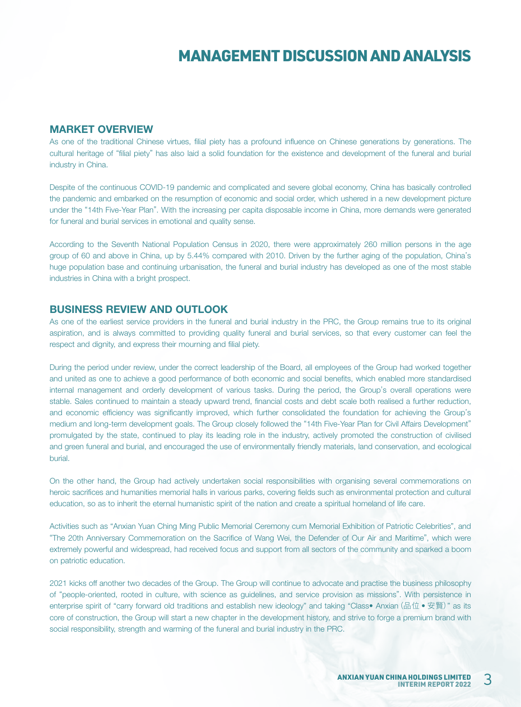#### MARKET OVERVIEW

As one of the traditional Chinese virtues, filial piety has a profound influence on Chinese generations by generations. The cultural heritage of "filial piety" has also laid a solid foundation for the existence and development of the funeral and burial industry in China.

Despite of the continuous COVID-19 pandemic and complicated and severe global economy, China has basically controlled the pandemic and embarked on the resumption of economic and social order, which ushered in a new development picture under the "14th Five-Year Plan". With the increasing per capita disposable income in China, more demands were generated for funeral and burial services in emotional and quality sense.

According to the Seventh National Population Census in 2020, there were approximately 260 million persons in the age group of 60 and above in China, up by 5.44% compared with 2010. Driven by the further aging of the population, China's huge population base and continuing urbanisation, the funeral and burial industry has developed as one of the most stable industries in China with a bright prospect.

#### BUSINESS REVIEW AND OUTLOOK

As one of the earliest service providers in the funeral and burial industry in the PRC, the Group remains true to its original aspiration, and is always committed to providing quality funeral and burial services, so that every customer can feel the respect and dignity, and express their mourning and filial piety.

During the period under review, under the correct leadership of the Board, all employees of the Group had worked together and united as one to achieve a good performance of both economic and social benefits, which enabled more standardised internal management and orderly development of various tasks. During the period, the Group's overall operations were stable. Sales continued to maintain a steady upward trend, financial costs and debt scale both realised a further reduction, and economic efficiency was significantly improved, which further consolidated the foundation for achieving the Group's medium and long-term development goals. The Group closely followed the "14th Five-Year Plan for Civil Affairs Development" promulgated by the state, continued to play its leading role in the industry, actively promoted the construction of civilised and green funeral and burial, and encouraged the use of environmentally friendly materials, land conservation, and ecological burial.

On the other hand, the Group had actively undertaken social responsibilities with organising several commemorations on heroic sacrifices and humanities memorial halls in various parks, covering fields such as environmental protection and cultural education, so as to inherit the eternal humanistic spirit of the nation and create a spiritual homeland of life care.

Activities such as "Anxian Yuan Ching Ming Public Memorial Ceremony cum Memorial Exhibition of Patriotic Celebrities", and "The 20th Anniversary Commemoration on the Sacrifice of Wang Wei, the Defender of Our Air and Maritime", which were extremely powerful and widespread, had received focus and support from all sectors of the community and sparked a boom on patriotic education.

2021 kicks off another two decades of the Group. The Group will continue to advocate and practise the business philosophy of "people-oriented, rooted in culture, with science as guidelines, and service provision as missions". With persistence in enterprise spirit of "carry forward old traditions and establish new ideology" and taking "Class• Anxian (品位 • 安賢)" as its core of construction, the Group will start a new chapter in the development history, and strive to forge a premium brand with social responsibility, strength and warming of the funeral and burial industry in the PRC.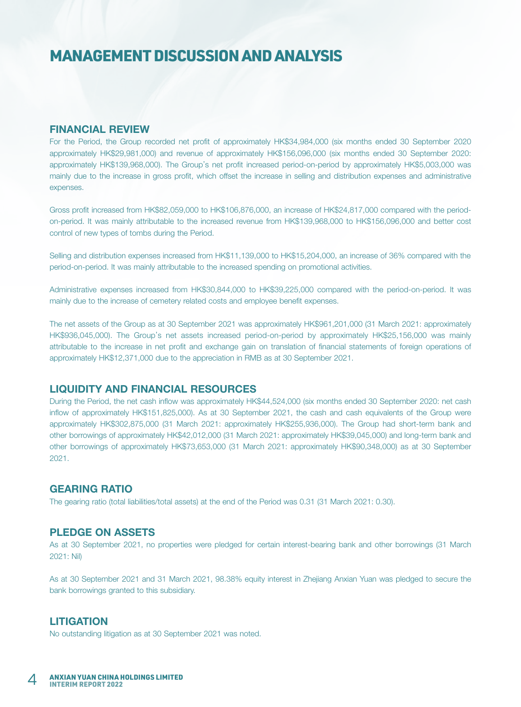#### FINANCIAL REVIEW

For the Period, the Group recorded net profit of approximately HK\$34,984,000 (six months ended 30 September 2020 approximately HK\$29,981,000) and revenue of approximately HK\$156,096,000 (six months ended 30 September 2020: approximately HK\$139,968,000). The Group's net profit increased period-on-period by approximately HK\$5,003,000 was mainly due to the increase in gross profit, which offset the increase in selling and distribution expenses and administrative expenses.

Gross profit increased from HK\$82,059,000 to HK\$106,876,000, an increase of HK\$24,817,000 compared with the periodon-period. It was mainly attributable to the increased revenue from HK\$139,968,000 to HK\$156,096,000 and better cost control of new types of tombs during the Period.

Selling and distribution expenses increased from HK\$11,139,000 to HK\$15,204,000, an increase of 36% compared with the period-on-period. It was mainly attributable to the increased spending on promotional activities.

Administrative expenses increased from HK\$30,844,000 to HK\$39,225,000 compared with the period-on-period. It was mainly due to the increase of cemetery related costs and employee benefit expenses.

The net assets of the Group as at 30 September 2021 was approximately HK\$961,201,000 (31 March 2021: approximately HK\$936,045,000). The Group's net assets increased period-on-period by approximately HK\$25,156,000 was mainly attributable to the increase in net profit and exchange gain on translation of financial statements of foreign operations of approximately HK\$12,371,000 due to the appreciation in RMB as at 30 September 2021.

### LIQUIDITY AND FINANCIAL RESOURCES

During the Period, the net cash inflow was approximately HK\$44,524,000 (six months ended 30 September 2020: net cash inflow of approximately HK\$151,825,000). As at 30 September 2021, the cash and cash equivalents of the Group were approximately HK\$302,875,000 (31 March 2021: approximately HK\$255,936,000). The Group had short-term bank and other borrowings of approximately HK\$42,012,000 (31 March 2021: approximately HK\$39,045,000) and long-term bank and other borrowings of approximately HK\$73,653,000 (31 March 2021: approximately HK\$90,348,000) as at 30 September 2021.

### GEARING RATIO

The gearing ratio (total liabilities/total assets) at the end of the Period was 0.31 (31 March 2021: 0.30).

### PLEDGE ON ASSETS

As at 30 September 2021, no properties were pledged for certain interest-bearing bank and other borrowings (31 March 2021: Nil)

As at 30 September 2021 and 31 March 2021, 98.38% equity interest in Zhejiang Anxian Yuan was pledged to secure the bank borrowings granted to this subsidiary.

#### **LITIGATION**

No outstanding litigation as at 30 September 2021 was noted.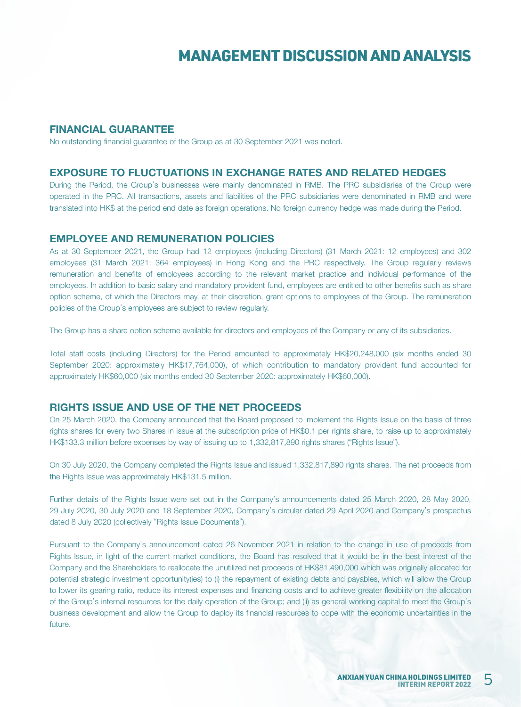### FINANCIAL GUARANTEE

No outstanding financial guarantee of the Group as at 30 September 2021 was noted.

#### EXPOSURE TO FLUCTUATIONS IN EXCHANGE RATES AND RELATED HEDGES

During the Period, the Group's businesses were mainly denominated in RMB. The PRC subsidiaries of the Group were operated in the PRC. All transactions, assets and liabilities of the PRC subsidiaries were denominated in RMB and were translated into HK\$ at the period end date as foreign operations. No foreign currency hedge was made during the Period.

#### EMPLOYEE AND REMUNERATION POLICIES

As at 30 September 2021, the Group had 12 employees (including Directors) (31 March 2021: 12 employees) and 302 employees (31 March 2021: 364 employees) in Hong Kong and the PRC respectively. The Group regularly reviews remuneration and benefits of employees according to the relevant market practice and individual performance of the employees. In addition to basic salary and mandatory provident fund, employees are entitled to other benefits such as share option scheme, of which the Directors may, at their discretion, grant options to employees of the Group. The remuneration policies of the Group's employees are subject to review regularly.

The Group has a share option scheme available for directors and employees of the Company or any of its subsidiaries.

Total staff costs (including Directors) for the Period amounted to approximately HK\$20,248,000 (six months ended 30 September 2020: approximately HK\$17,764,000), of which contribution to mandatory provident fund accounted for approximately HK\$60,000 (six months ended 30 September 2020: approximately HK\$60,000).

#### RIGHTS ISSUE AND USE OF THE NET PROCEEDS

On 25 March 2020, the Company announced that the Board proposed to implement the Rights Issue on the basis of three rights shares for every two Shares in issue at the subscription price of HK\$0.1 per rights share, to raise up to approximately HK\$133.3 million before expenses by way of issuing up to 1,332,817,890 rights shares ("Rights Issue").

On 30 July 2020, the Company completed the Rights Issue and issued 1,332,817,890 rights shares. The net proceeds from the Rights Issue was approximately HK\$131.5 million.

Further details of the Rights Issue were set out in the Company's announcements dated 25 March 2020, 28 May 2020, 29 July 2020, 30 July 2020 and 18 September 2020, Company's circular dated 29 April 2020 and Company's prospectus dated 8 July 2020 (collectively "Rights Issue Documents").

Pursuant to the Company's announcement dated 26 November 2021 in relation to the change in use of proceeds from Rights Issue, in light of the current market conditions, the Board has resolved that it would be in the best interest of the Company and the Shareholders to reallocate the unutilized net proceeds of HK\$81,490,000 which was originally allocated for potential strategic investment opportunity(ies) to (i) the repayment of existing debts and payables, which will allow the Group to lower its gearing ratio, reduce its interest expenses and financing costs and to achieve greater flexibility on the allocation of the Group's internal resources for the daily operation of the Group; and (ii) as general working capital to meet the Group's business development and allow the Group to deploy its financial resources to cope with the economic uncertainties in the future.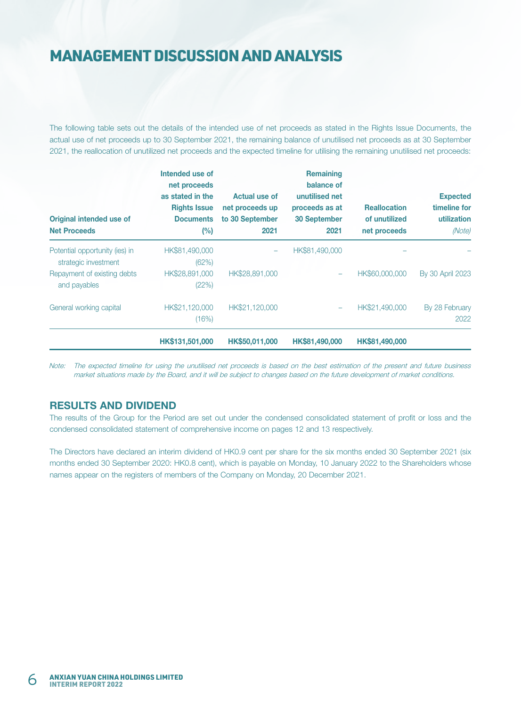The following table sets out the details of the intended use of net proceeds as stated in the Rights Issue Documents, the actual use of net proceeds up to 30 September 2021, the remaining balance of unutilised net proceeds as at 30 September 2021, the reallocation of unutilized net proceeds and the expected timeline for utilising the remaining unutilised net proceeds:

| Original intended use of<br><b>Net Proceeds</b>        | Intended use of<br>net proceeds<br>as stated in the<br><b>Rights Issue</b><br><b>Documents</b><br>$(\%)$ | Actual use of<br>net proceeds up<br>to 30 September<br>2021 | <b>Remaining</b><br>balance of<br>unutilised net<br>proceeds as at<br><b>30 September</b><br>2021 | <b>Reallocation</b><br>of unutilized<br>net proceeds | <b>Expected</b><br>timeline for<br>utilization<br>(Note) |
|--------------------------------------------------------|----------------------------------------------------------------------------------------------------------|-------------------------------------------------------------|---------------------------------------------------------------------------------------------------|------------------------------------------------------|----------------------------------------------------------|
| Potential opportunity (ies) in<br>strategic investment | HK\$81,490,000<br>(62%)                                                                                  |                                                             | HK\$81,490,000                                                                                    |                                                      |                                                          |
| Repayment of existing debts<br>and payables            | HK\$28,891,000<br>(22%)                                                                                  | HK\$28,891,000                                              |                                                                                                   | HK\$60,000,000                                       | By 30 April 2023                                         |
| General working capital                                | HK\$21,120,000<br>(16%)                                                                                  | HK\$21,120,000                                              |                                                                                                   | HK\$21,490,000                                       | By 28 February<br>2022                                   |
|                                                        | HK\$131,501,000                                                                                          | HK\$50,011,000                                              | HK\$81,490,000                                                                                    | HK\$81,490,000                                       |                                                          |

Note: The expected timeline for using the unutilised net proceeds is based on the best estimation of the present and future business market situations made by the Board, and it will be subject to changes based on the future development of market conditions.

### RESULTS AND DIVIDEND

The results of the Group for the Period are set out under the condensed consolidated statement of profit or loss and the condensed consolidated statement of comprehensive income on pages 12 and 13 respectively.

The Directors have declared an interim dividend of HK0.9 cent per share for the six months ended 30 September 2021 (six months ended 30 September 2020: HK0.8 cent), which is payable on Monday, 10 January 2022 to the Shareholders whose names appear on the registers of members of the Company on Monday, 20 December 2021.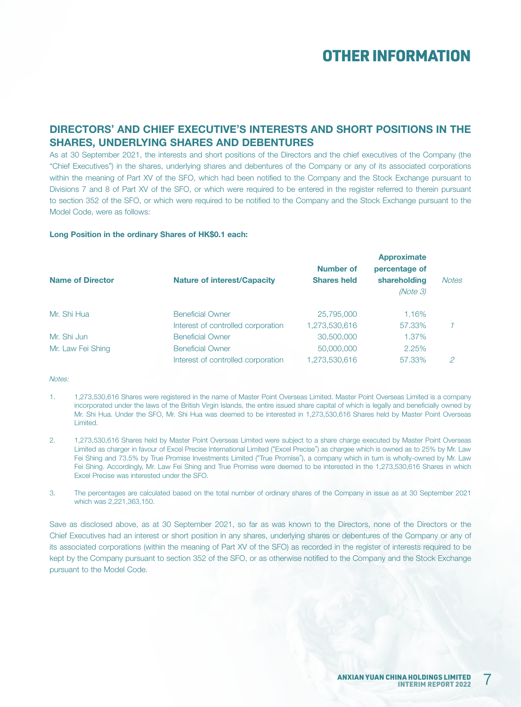## DIRECTORS' AND CHIEF EXECUTIVE'S INTERESTS AND SHORT POSITIONS IN THE SHARES, UNDERLYING SHARES AND DEBENTURES

As at 30 September 2021, the interests and short positions of the Directors and the chief executives of the Company (the "Chief Executives") in the shares, underlying shares and debentures of the Company or any of its associated corporations within the meaning of Part XV of the SFO, which had been notified to the Company and the Stock Exchange pursuant to Divisions 7 and 8 of Part XV of the SFO, or which were required to be entered in the register referred to therein pursuant to section 352 of the SFO, or which were required to be notified to the Company and the Stock Exchange pursuant to the Model Code, were as follows:

#### Long Position in the ordinary Shares of HK\$0.1 each:

| <b>Name of Director</b> | <b>Nature of interest/Capacity</b> | <b>Number of</b><br><b>Shares held</b> | <b>Approximate</b><br>percentage of<br>shareholding<br>(Note 3) | <b>Notes</b> |
|-------------------------|------------------------------------|----------------------------------------|-----------------------------------------------------------------|--------------|
| Mr. Shi Hua             | <b>Beneficial Owner</b>            | 25,795,000                             | 1.16%                                                           |              |
|                         | Interest of controlled corporation | 1,273,530,616                          | 57,33%                                                          |              |
| Mr. Shi Jun             | <b>Beneficial Owner</b>            | 30,500,000                             | 1.37%                                                           |              |
| Mr. Law Fei Shing       | <b>Beneficial Owner</b>            | 50,000,000                             | 2.25%                                                           |              |
|                         | Interest of controlled corporation | 1.273.530.616                          | 57.33%                                                          | 2            |

Notes:

- 1. 1,273,530,616 Shares were registered in the name of Master Point Overseas Limited. Master Point Overseas Limited is a company incorporated under the laws of the British Virgin Islands, the entire issued share capital of which is legally and beneficially owned by Mr. Shi Hua. Under the SFO, Mr. Shi Hua was deemed to be interested in 1,273,530,616 Shares held by Master Point Overseas Limited.
- 2. 1,273,530,616 Shares held by Master Point Overseas Limited were subject to a share charge executed by Master Point Overseas Limited as charger in favour of Excel Precise International Limited ("Excel Precise") as chargee which is owned as to 25% by Mr. Law Fei Shing and 73.5% by True Promise Investments Limited ("True Promise"), a company which in turn is wholly-owned by Mr. Law Fei Shing. Accordingly, Mr. Law Fei Shing and True Promise were deemed to be interested in the 1,273,530,616 Shares in which Excel Precise was interested under the SFO.
- 3. The percentages are calculated based on the total number of ordinary shares of the Company in issue as at 30 September 2021 which was 2,221,363,150.

Save as disclosed above, as at 30 September 2021, so far as was known to the Directors, none of the Directors or the Chief Executives had an interest or short position in any shares, underlying shares or debentures of the Company or any of its associated corporations (within the meaning of Part XV of the SFO) as recorded in the register of interests required to be kept by the Company pursuant to section 352 of the SFO, or as otherwise notified to the Company and the Stock Exchange pursuant to the Model Code.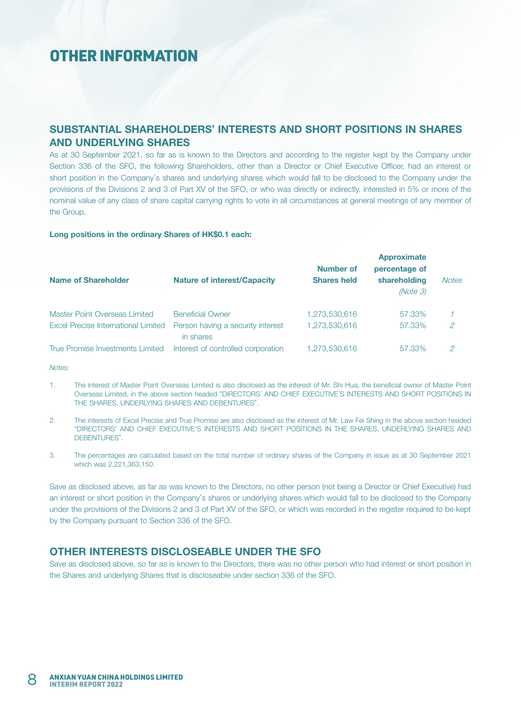### SUBSTANTIAL SHAREHOLDERS' INTERESTS AND SHORT POSITIONS IN SHARES AND UNDERLYING SHARES

As at 30 September 2021, so far as is known to the Directors and according to the register kept by the Company under Section 336 of the SFO, the following Shareholders, other than a Director or Chief Executive Officer, had an interest or short position in the Company's shares and underlying shares which would fall to be disclosed to the Company under the provisions of the Divisions 2 and 3 of Part XV of the SFO, or who was directly or indirectly, interested in 5% or more of the nominal value of any class of share capital carrying rights to vote in all circumstances at general meetings of any member of the Group.

#### Long positions in the ordinary Shares of HK\$0.1 each:

| <b>Name of Shareholder</b>          | <b>Nature of interest/Capacity</b>             | <b>Number of</b><br><b>Shares held</b> | <b>Approximate</b><br>percentage of<br>shareholding<br>(Note 3) | <b>Notes</b> |
|-------------------------------------|------------------------------------------------|----------------------------------------|-----------------------------------------------------------------|--------------|
| Master Point Overseas Limited       | <b>Beneficial Owner</b>                        | 1,273,530,616                          | 57.33%                                                          |              |
| Excel Precise International Limited | Person having a security interest<br>in shares | 1,273,530,616                          | 57.33%                                                          | 2            |
| True Promise Investments Limited    | Interest of controlled corporation             | 1,273,530,616                          | 57.33%                                                          | 2            |

Notes:

- 1. The interest of Master Point Overseas Limited is also disclosed as the interest of Mr. Shi Hua, the beneficial owner of Master Point Overseas Limited, in the above section headed "DIRECTORS' AND CHIEF EXECUTIVE'S INTERESTS AND SHORT POSITIONS IN THE SHARES, UNDERLYING SHARES AND DEBENTURES".
- 2. The interests of Excel Precise and True Promise are also disclosed as the interest of Mr. Law Fei Shing in the above section headed "DIRECTORS' AND CHIEF EXECUTIVE'S INTERESTS AND SHORT POSITIONS IN THE SHARES, UNDERLYING SHARES AND DEBENTURES".
- 3. The percentages are calculated based on the total number of ordinary shares of the Company in issue as at 30 September 2021 which was 2,221,363,150.

Save as disclosed above, as far as was known to the Directors, no other person (not being a Director or Chief Executive) had an interest or short position in the Company's shares or underlying shares which would fall to be disclosed to the Company under the provisions of the Divisions 2 and 3 of Part XV of the SFO, or which was recorded in the register required to be kept by the Company pursuant to Section 336 of the SFO.

### OTHER INTERESTS DISCLOSEABLE UNDER THE SFO

Save as disclosed above, so far as is known to the Directors, there was no other person who had interest or short position in the Shares and underlying Shares that is discloseable under section 336 of the SFO.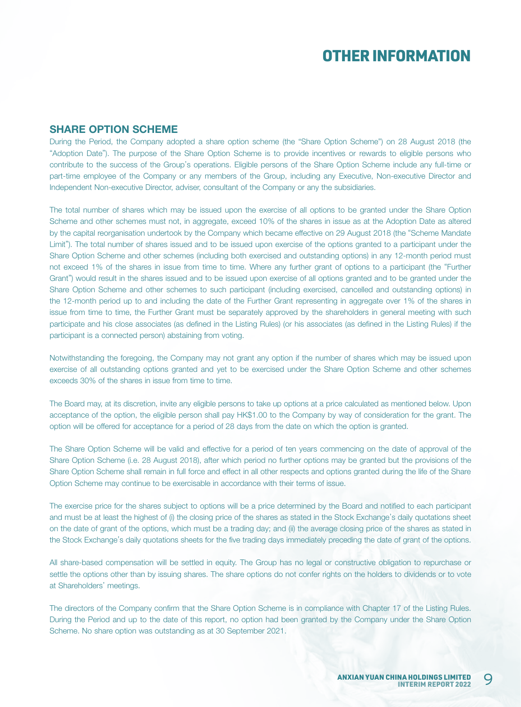### SHARE OPTION SCHEME

During the Period, the Company adopted a share option scheme (the "Share Option Scheme") on 28 August 2018 (the "Adoption Date"). The purpose of the Share Option Scheme is to provide incentives or rewards to eligible persons who contribute to the success of the Group's operations. Eligible persons of the Share Option Scheme include any full-time or part-time employee of the Company or any members of the Group, including any Executive, Non-executive Director and Independent Non-executive Director, adviser, consultant of the Company or any the subsidiaries.

The total number of shares which may be issued upon the exercise of all options to be granted under the Share Option Scheme and other schemes must not, in aggregate, exceed 10% of the shares in issue as at the Adoption Date as altered by the capital reorganisation undertook by the Company which became effective on 29 August 2018 (the "Scheme Mandate Limit"). The total number of shares issued and to be issued upon exercise of the options granted to a participant under the Share Option Scheme and other schemes (including both exercised and outstanding options) in any 12-month period must not exceed 1% of the shares in issue from time to time. Where any further grant of options to a participant (the "Further Grant") would result in the shares issued and to be issued upon exercise of all options granted and to be granted under the Share Option Scheme and other schemes to such participant (including exercised, cancelled and outstanding options) in the 12-month period up to and including the date of the Further Grant representing in aggregate over 1% of the shares in issue from time to time, the Further Grant must be separately approved by the shareholders in general meeting with such participate and his close associates (as defined in the Listing Rules) (or his associates (as defined in the Listing Rules) if the participant is a connected person) abstaining from voting.

Notwithstanding the foregoing, the Company may not grant any option if the number of shares which may be issued upon exercise of all outstanding options granted and yet to be exercised under the Share Option Scheme and other schemes exceeds 30% of the shares in issue from time to time.

The Board may, at its discretion, invite any eligible persons to take up options at a price calculated as mentioned below. Upon acceptance of the option, the eligible person shall pay HK\$1.00 to the Company by way of consideration for the grant. The option will be offered for acceptance for a period of 28 days from the date on which the option is granted.

The Share Option Scheme will be valid and effective for a period of ten years commencing on the date of approval of the Share Option Scheme (i.e. 28 August 2018), after which period no further options may be granted but the provisions of the Share Option Scheme shall remain in full force and effect in all other respects and options granted during the life of the Share Option Scheme may continue to be exercisable in accordance with their terms of issue.

The exercise price for the shares subject to options will be a price determined by the Board and notified to each participant and must be at least the highest of (i) the closing price of the shares as stated in the Stock Exchange's daily quotations sheet on the date of grant of the options, which must be a trading day; and (ii) the average closing price of the shares as stated in the Stock Exchange's daily quotations sheets for the five trading days immediately preceding the date of grant of the options.

All share-based compensation will be settled in equity. The Group has no legal or constructive obligation to repurchase or settle the options other than by issuing shares. The share options do not confer rights on the holders to dividends or to vote at Shareholders' meetings.

The directors of the Company confirm that the Share Option Scheme is in compliance with Chapter 17 of the Listing Rules. During the Period and up to the date of this report, no option had been granted by the Company under the Share Option Scheme. No share option was outstanding as at 30 September 2021.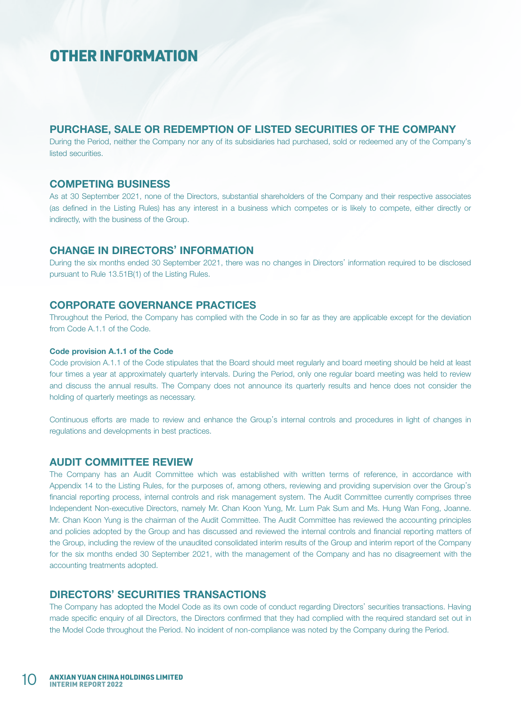### PURCHASE, SALE OR REDEMPTION OF LISTED SECURITIES OF THE COMPANY

During the Period, neither the Company nor any of its subsidiaries had purchased, sold or redeemed any of the Company's listed securities.

#### COMPETING BUSINESS

As at 30 September 2021, none of the Directors, substantial shareholders of the Company and their respective associates (as defined in the Listing Rules) has any interest in a business which competes or is likely to compete, either directly or indirectly, with the business of the Group.

### CHANGE IN DIRECTORS' INFORMATION

During the six months ended 30 September 2021, there was no changes in Directors' information required to be disclosed pursuant to Rule 13.51B(1) of the Listing Rules.

#### CORPORATE GOVERNANCE PRACTICES

Throughout the Period, the Company has complied with the Code in so far as they are applicable except for the deviation from Code A.1.1 of the Code.

#### Code provision A.1.1 of the Code

Code provision A.1.1 of the Code stipulates that the Board should meet regularly and board meeting should be held at least four times a year at approximately quarterly intervals. During the Period, only one regular board meeting was held to review and discuss the annual results. The Company does not announce its quarterly results and hence does not consider the holding of quarterly meetings as necessary.

Continuous efforts are made to review and enhance the Group's internal controls and procedures in light of changes in regulations and developments in best practices.

#### AUDIT COMMITTEE REVIEW

The Company has an Audit Committee which was established with written terms of reference, in accordance with Appendix 14 to the Listing Rules, for the purposes of, among others, reviewing and providing supervision over the Group's financial reporting process, internal controls and risk management system. The Audit Committee currently comprises three Independent Non-executive Directors, namely Mr. Chan Koon Yung, Mr. Lum Pak Sum and Ms. Hung Wan Fong, Joanne. Mr. Chan Koon Yung is the chairman of the Audit Committee. The Audit Committee has reviewed the accounting principles and policies adopted by the Group and has discussed and reviewed the internal controls and financial reporting matters of the Group, including the review of the unaudited consolidated interim results of the Group and interim report of the Company for the six months ended 30 September 2021, with the management of the Company and has no disagreement with the accounting treatments adopted.

#### DIRECTORS' SECURITIES TRANSACTIONS

The Company has adopted the Model Code as its own code of conduct regarding Directors' securities transactions. Having made specific enquiry of all Directors, the Directors confirmed that they had complied with the required standard set out in the Model Code throughout the Period. No incident of non-compliance was noted by the Company during the Period.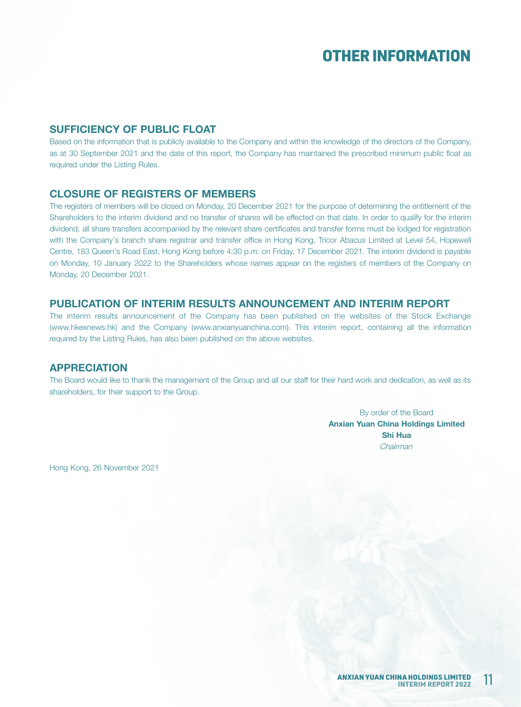### SUFFICIENCY OF PUBLIC FLOAT

Based on the information that is publicly available to the Company and within the knowledge of the directors of the Company, as at 30 September 2021 and the date of this report, the Company has maintained the prescribed minimum public float as required under the Listing Rules.

### CLOSURE OF REGISTERS OF MEMBERS

The registers of members will be closed on Monday, 20 December 2021 for the purpose of determining the entitlement of the Shareholders to the interim dividend and no transfer of shares will be effected on that date. In order to qualify for the interim dividend, all share transfers accompanied by the relevant share certificates and transfer forms must be lodged for registration with the Company's branch share registrar and transfer office in Hong Kong, Tricor Abacus Limited at Level 54, Hopewell Centre, 183 Queen's Road East, Hong Kong before 4:30 p.m. on Friday, 17 December 2021. The interim dividend is payable on Monday, 10 January 2022 to the Shareholders whose names appear on the registers of members of the Company on Monday, 20 December 2021.

### PUBLICATION OF INTERIM RESULTS ANNOUNCEMENT AND INTERIM REPORT

The interim results announcement of the Company has been published on the websites of the Stock Exchange (www.hkexnews.hk) and the Company (www.anxianyuanchina.com). This interim report, containing all the information required by the Listing Rules, has also been published on the above websites.

#### APPRECIATION

The Board would like to thank the management of the Group and all our staff for their hard work and dedication, as well as its shareholders, for their support to the Group.

> By order of the Board Anxian Yuan China Holdings Limited Shi Hua Chairman

Hong Kong, 26 November 2021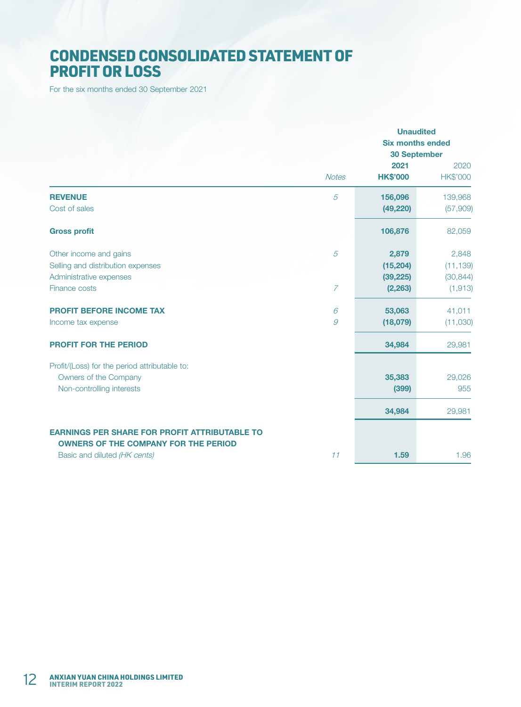# CONDENSED CONSOLIDATED STATEMENT OF PROFIT OR LOSS

For the six months ended 30 September 2021

|                                                      | <b>Unaudited</b><br><b>Six months ended</b><br><b>30 September</b> |                         |                         |
|------------------------------------------------------|--------------------------------------------------------------------|-------------------------|-------------------------|
|                                                      | <b>Notes</b>                                                       | 2021<br><b>HK\$'000</b> | 2020<br><b>HK\$'000</b> |
| <b>REVENUE</b>                                       | $\overline{5}$                                                     | 156,096                 | 139,968                 |
| Cost of sales                                        |                                                                    | (49, 220)               | (57,909)                |
| <b>Gross profit</b>                                  |                                                                    | 106,876                 | 82,059                  |
| Other income and gains                               | 5                                                                  | 2,879                   | 2,848                   |
| Selling and distribution expenses                    |                                                                    | (15, 204)               | (11, 139)               |
| Administrative expenses                              |                                                                    | (39, 225)               | (30, 844)               |
| Finance costs                                        | $\overline{7}$                                                     | (2, 263)                | (1, 913)                |
| <b>PROFIT BEFORE INCOME TAX</b>                      | 6                                                                  | 53,063                  | 41,011                  |
| Income tax expense                                   | 9                                                                  | (18,079)                | (11,030)                |
| <b>PROFIT FOR THE PERIOD</b>                         |                                                                    | 34,984                  | 29,981                  |
| Profit/(Loss) for the period attributable to:        |                                                                    |                         |                         |
| Owners of the Company                                |                                                                    | 35,383                  | 29,026                  |
| Non-controlling interests                            |                                                                    | (399)                   | 955                     |
|                                                      |                                                                    | 34,984                  | 29,981                  |
| <b>EARNINGS PER SHARE FOR PROFIT ATTRIBUTABLE TO</b> |                                                                    |                         |                         |
| <b>OWNERS OF THE COMPANY FOR THE PERIOD</b>          |                                                                    |                         |                         |
| Basic and diluted (HK cents)                         | 11                                                                 | 1.59                    | 1.96                    |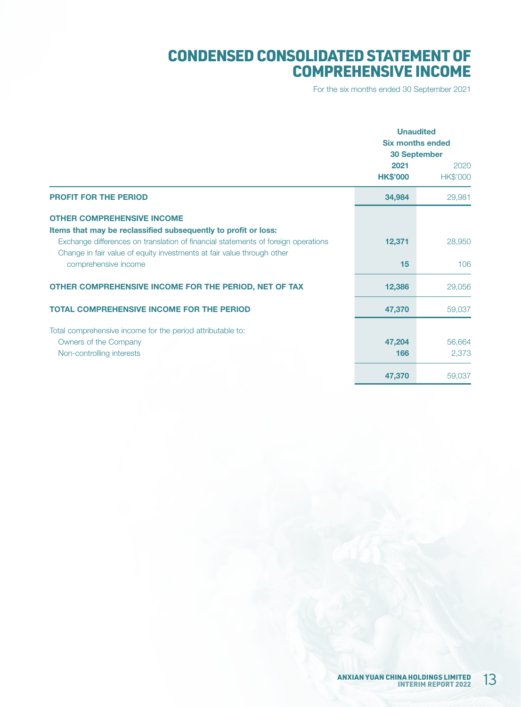# CONDENSED CONSOLIDATED STATEMENT OF COMPREHENSIVE INCOME

For the six months ended 30 September 2021

|                                                                                                                                                             |                         | <b>Unaudited</b><br><b>Six months ended</b><br><b>30 September</b> |
|-------------------------------------------------------------------------------------------------------------------------------------------------------------|-------------------------|--------------------------------------------------------------------|
|                                                                                                                                                             | 2021<br><b>HK\$'000</b> | 2020<br><b>HK\$'000</b>                                            |
| <b>PROFIT FOR THE PERIOD</b>                                                                                                                                | 34,984                  | 29,981                                                             |
| <b>OTHER COMPREHENSIVE INCOME</b><br>Items that may be reclassified subsequently to profit or loss:                                                         |                         |                                                                    |
| Exchange differences on translation of financial statements of foreign operations<br>Change in fair value of equity investments at fair value through other | 12,371                  | 28,950                                                             |
| comprehensive income                                                                                                                                        | 15                      | 106                                                                |
| OTHER COMPREHENSIVE INCOME FOR THE PERIOD, NET OF TAX                                                                                                       | 12,386                  | 29,056                                                             |
| <b>TOTAL COMPREHENSIVE INCOME FOR THE PERIOD</b>                                                                                                            | 47,370                  | 59,037                                                             |
| Total comprehensive income for the period attributable to:                                                                                                  |                         |                                                                    |
| Owners of the Company                                                                                                                                       | 47,204                  | 56,664                                                             |
| Non-controlling interests                                                                                                                                   | 166                     | 2,373                                                              |
|                                                                                                                                                             | 47,370                  | 59,037                                                             |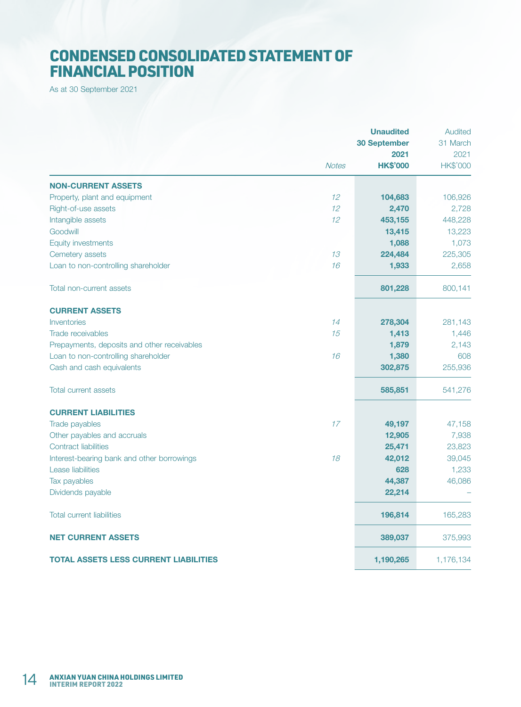# CONDENSED CONSOLIDATED STATEMENT OF FINANCIAL POSITION

As at 30 September 2021

|                                              |              | <b>Unaudited</b><br><b>30 September</b><br>2021 | Audited<br>31 March<br>2021 |
|----------------------------------------------|--------------|-------------------------------------------------|-----------------------------|
|                                              | <b>Notes</b> | <b>HK\$'000</b>                                 | HK\$'000                    |
| <b>NON-CURRENT ASSETS</b>                    |              |                                                 |                             |
| Property, plant and equipment                | 12           | 104,683                                         | 106,926                     |
| Right-of-use assets                          | 12           | 2,470                                           | 2,728                       |
| Intangible assets                            | 12           | 453,155                                         | 448,228                     |
| Goodwill                                     |              | 13,415                                          | 13,223                      |
| <b>Equity investments</b>                    |              | 1,088                                           | 1,073                       |
| Cemetery assets                              | 13           | 224,484                                         | 225,305                     |
| Loan to non-controlling shareholder          | 16           | 1,933                                           | 2,658                       |
| Total non-current assets                     |              | 801,228                                         | 800,141                     |
| <b>CURRENT ASSETS</b>                        |              |                                                 |                             |
| Inventories                                  | 14           | 278,304                                         | 281,143                     |
| Trade receivables                            | 15           | 1,413                                           | 1,446                       |
| Prepayments, deposits and other receivables  |              | 1,879                                           | 2,143                       |
| Loan to non-controlling shareholder          | 16           | 1,380                                           | 608                         |
| Cash and cash equivalents                    |              | 302,875                                         | 255,936                     |
| <b>Total current assets</b>                  |              | 585,851                                         | 541,276                     |
| <b>CURRENT LIABILITIES</b>                   |              |                                                 |                             |
| Trade payables                               | 17           | 49,197                                          | 47,158                      |
| Other payables and accruals                  |              | 12,905                                          | 7,938                       |
| <b>Contract liabilities</b>                  |              | 25,471                                          | 23,823                      |
| Interest-bearing bank and other borrowings   | 18           | 42,012                                          | 39,045                      |
| <b>Lease liabilities</b>                     |              | 628                                             | 1,233                       |
| Tax payables                                 |              | 44,387                                          | 46,086                      |
| Dividends payable                            |              | 22,214                                          |                             |
| <b>Total current liabilities</b>             |              | 196,814                                         | 165,283                     |
| <b>NET CURRENT ASSETS</b>                    |              | 389,037                                         | 375,993                     |
| <b>TOTAL ASSETS LESS CURRENT LIABILITIES</b> |              | 1,190,265                                       | 1,176,134                   |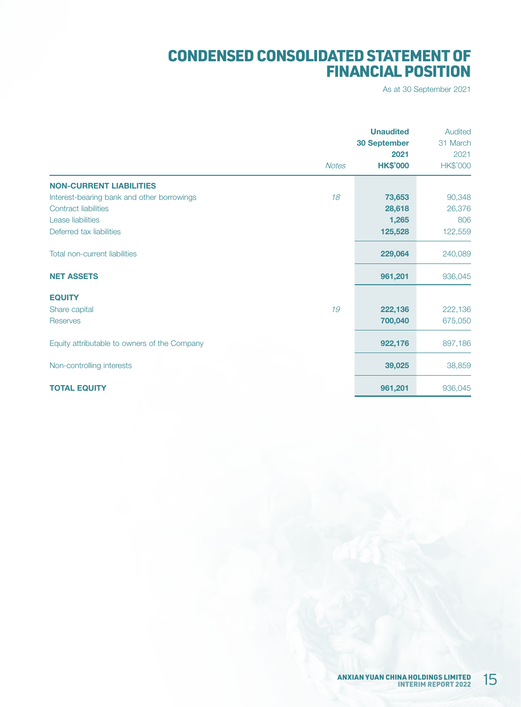# CONDENSED CONSOLIDATED STATEMENT OF FINANCIAL POSITION

As at 30 September 2021

|                                              |              | <b>Unaudited</b><br><b>30 September</b><br>2021 | Audited<br>31 March<br>2021 |
|----------------------------------------------|--------------|-------------------------------------------------|-----------------------------|
|                                              | <b>Notes</b> | <b>HK\$'000</b>                                 | <b>HK\$'000</b>             |
| <b>NON-CURRENT LIABILITIES</b>               |              |                                                 |                             |
| Interest-bearing bank and other borrowings   | 18           | 73,653                                          | 90,348                      |
| <b>Contract liabilities</b>                  |              | 28,618                                          | 26,376                      |
| Lease liabilities                            |              | 1,265                                           | 806                         |
| Deferred tax liabilities                     |              | 125,528                                         | 122,559                     |
| <b>Total non-current liabilities</b>         |              | 229,064                                         | 240,089                     |
| <b>NET ASSETS</b>                            |              | 961,201                                         | 936,045                     |
| <b>EQUITY</b>                                |              |                                                 |                             |
| Share capital                                | 19           | 222,136                                         | 222,136                     |
| <b>Reserves</b>                              |              | 700,040                                         | 675,050                     |
| Equity attributable to owners of the Company |              | 922,176                                         | 897,186                     |
| Non-controlling interests                    |              | 39,025                                          | 38,859                      |
| <b>TOTAL EQUITY</b>                          |              | 961,201                                         | 936,045                     |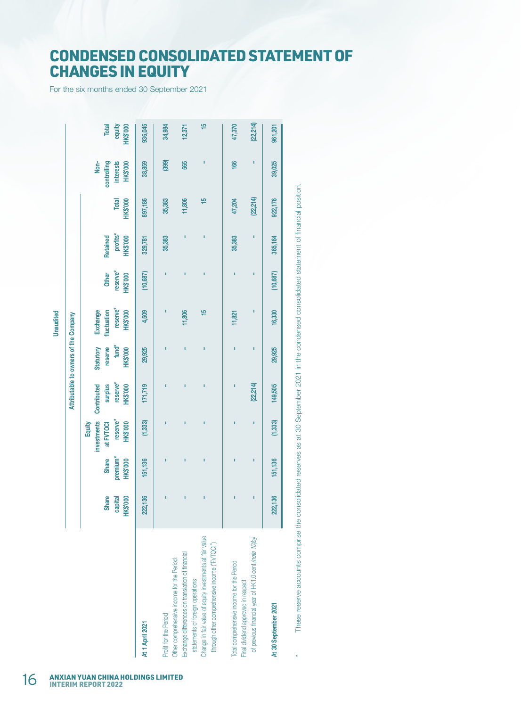## CONDENSED CONSOLIDATED STATEMENT OF CHANGES IN EQUITY

For the six months ended 30 September 2021

These reserve accounts comprise the consolidated reserves as at 30 September 2021 in the condensed consolidated statement of financial position. \* These reserve accounts comprise the consolidated reserves as at 30 September 2021 in the condensed consolidated statement of financial position.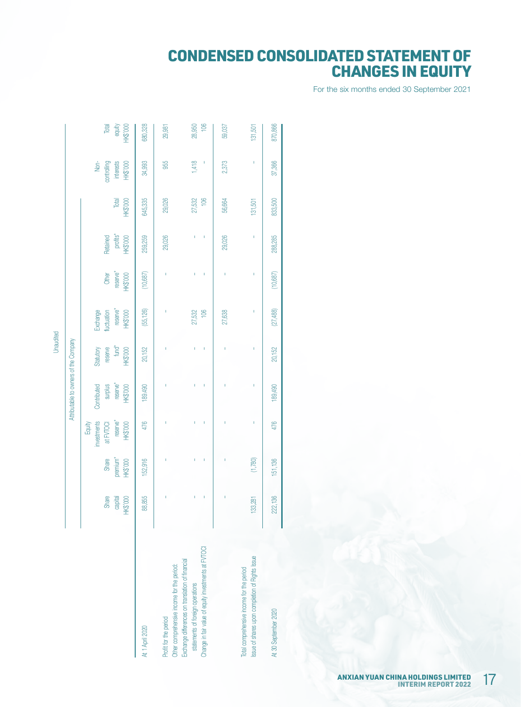# CONDENSED CONSOLIDATED STATEMENT OF CHANGES IN EQUITY

For the six months ended 30 September 2021

|                                                                                                                                              |                              |                                      |                                                            | Attributable to owners of the Company                 |                                                              |                                                        |                                      |                                  |                          |                                              |                                    |
|----------------------------------------------------------------------------------------------------------------------------------------------|------------------------------|--------------------------------------|------------------------------------------------------------|-------------------------------------------------------|--------------------------------------------------------------|--------------------------------------------------------|--------------------------------------|----------------------------------|--------------------------|----------------------------------------------|------------------------------------|
|                                                                                                                                              | Share<br>bapital<br>HK\$'000 | Share<br>premium*<br><b>HK\$'000</b> | investments<br>reserve*<br>HK\$'000<br>at FVTOCI<br>Equity | reserve*<br>Contributed<br>surplus<br><b>HK\$'000</b> | Statutory<br>reserve<br>fund <sup>*</sup><br><b>HK\$'000</b> | reserve*<br>Exchange<br>fluctuation<br><b>HK\$'000</b> | Other<br>reserve*<br><b>HK\$'000</b> | profits*<br>Retained<br>HK\$'000 | Total<br><b>HK\$'000</b> | Non-<br>controlling<br>interests<br>HK\$'000 | Total<br>equity<br><b>HK\$'000</b> |
| At 1 April 2020                                                                                                                              | 88,855                       | 152,916                              | 476                                                        | 189.490                                               | 20,152                                                       | (55, 126)                                              | (10,687)                             | 259,259                          | 645,335                  | 34,993                                       | 680,328                            |
| Other comprehensive income for the period:<br>Profit for the period                                                                          |                              | I                                    |                                                            |                                                       | I                                                            | I                                                      | T                                    | 29,026                           | 29,026                   | 955                                          | 29,981                             |
| Change in fair value of equity investments at FVTOCI<br>Exchange differences on translation of financial<br>statements of foreign operations | I,<br>Ï                      | Ï<br>ï                               | Ī.<br>I.                                                   | Ï<br>Ï                                                | Î.<br>ï                                                      | 106<br>27,532                                          | Ï                                    | ı                                | 106<br>27,532            | 1,418                                        | 106<br>28,950                      |
|                                                                                                                                              |                              | Ï                                    | Ï                                                          | Ï                                                     | ı                                                            | 27,638                                                 | I                                    | 29,026                           | 56,664                   | 2,373                                        | 59,037                             |
| Issue of shares upon completion of Rights Issue<br>Total comprehensive income for the period                                                 | 133,281                      | (1,780)                              | T                                                          | I                                                     | T                                                            | T                                                      |                                      | I                                | 131,501                  |                                              | 131,501                            |
| At 30 September 2020                                                                                                                         | 222,136                      | 151,136                              | 476                                                        | 189,490                                               | 20,152                                                       | (27,488)                                               | (10,687)                             | 288,285                          | 833,500                  | 37,366                                       | 870,866                            |

Unaudited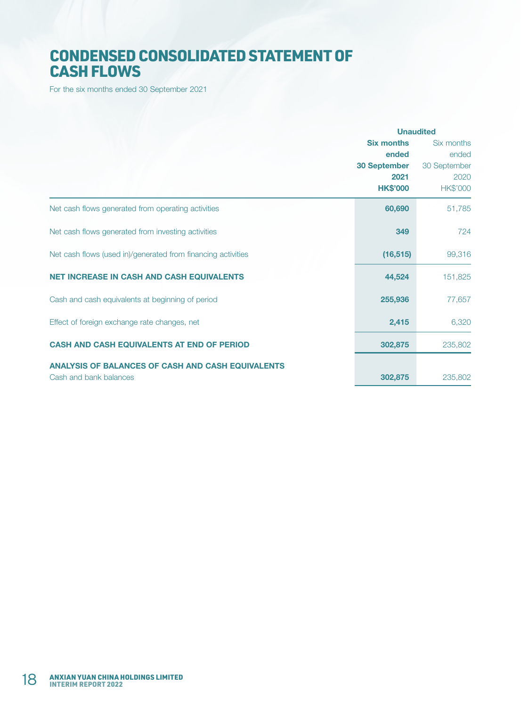# CONDENSED CONSOLIDATED STATEMENT OF CASH FLOWS

For the six months ended 30 September 2021

|                                                              | <b>Unaudited</b>    |                 |
|--------------------------------------------------------------|---------------------|-----------------|
|                                                              | <b>Six months</b>   | Six months      |
|                                                              | ended               | ended           |
|                                                              | <b>30 September</b> | 30 September    |
|                                                              | 2021                | 2020            |
|                                                              | <b>HK\$'000</b>     | <b>HK\$'000</b> |
| Net cash flows generated from operating activities           | 60,690              | 51,785          |
| Net cash flows generated from investing activities           | 349                 | 724             |
| Net cash flows (used in)/generated from financing activities | (16, 515)           | 99,316          |
| <b>NET INCREASE IN CASH AND CASH EQUIVALENTS</b>             | 44,524              | 151,825         |
| Cash and cash equivalents at beginning of period             | 255,936             | 77,657          |
| Effect of foreign exchange rate changes, net                 | 2,415               | 6,320           |
| <b>CASH AND CASH EQUIVALENTS AT END OF PERIOD</b>            | 302,875             | 235,802         |
| <b>ANALYSIS OF BALANCES OF CASH AND CASH EQUIVALENTS</b>     |                     |                 |
| Cash and bank balances                                       | 302,875             | 235,802         |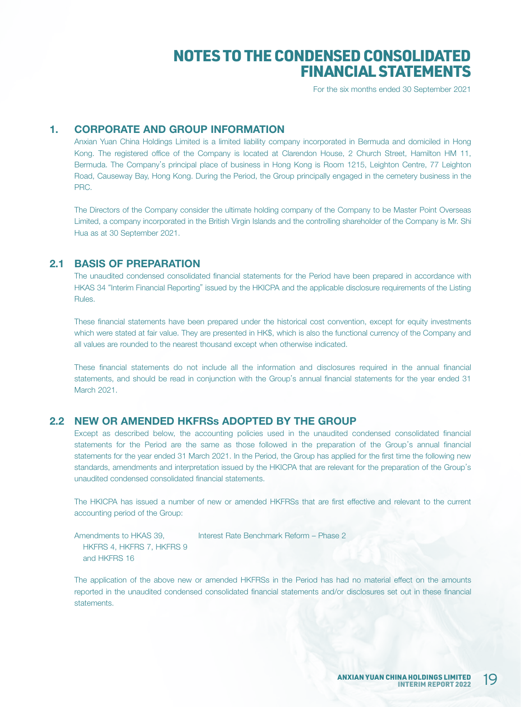For the six months ended 30 September 2021

### 1. CORPORATE AND GROUP INFORMATION

Anxian Yuan China Holdings Limited is a limited liability company incorporated in Bermuda and domiciled in Hong Kong. The registered office of the Company is located at Clarendon House, 2 Church Street, Hamilton HM 11, Bermuda. The Company's principal place of business in Hong Kong is Room 1215, Leighton Centre, 77 Leighton Road, Causeway Bay, Hong Kong. During the Period, the Group principally engaged in the cemetery business in the PRC.

The Directors of the Company consider the ultimate holding company of the Company to be Master Point Overseas Limited, a company incorporated in the British Virgin Islands and the controlling shareholder of the Company is Mr. Shi Hua as at 30 September 2021.

#### 2.1 BASIS OF PREPARATION

The unaudited condensed consolidated financial statements for the Period have been prepared in accordance with HKAS 34 "Interim Financial Reporting" issued by the HKICPA and the applicable disclosure requirements of the Listing Rules.

These financial statements have been prepared under the historical cost convention, except for equity investments which were stated at fair value. They are presented in HK\$, which is also the functional currency of the Company and all values are rounded to the nearest thousand except when otherwise indicated.

These financial statements do not include all the information and disclosures required in the annual financial statements, and should be read in conjunction with the Group's annual financial statements for the year ended 31 March 2021.

#### 2.2 NEW OR AMENDED HKFRSs ADOPTED BY THE GROUP

Except as described below, the accounting policies used in the unaudited condensed consolidated financial statements for the Period are the same as those followed in the preparation of the Group's annual financial statements for the year ended 31 March 2021. In the Period, the Group has applied for the first time the following new standards, amendments and interpretation issued by the HKICPA that are relevant for the preparation of the Group's unaudited condensed consolidated financial statements.

The HKICPA has issued a number of new or amended HKFRSs that are first effective and relevant to the current accounting period of the Group:

Amendments to HKAS 39, HKFRS 4, HKFRS 7, HKFRS 9 and HKFRS 16 Interest Rate Benchmark Reform – Phase 2

The application of the above new or amended HKFRSs in the Period has had no material effect on the amounts reported in the unaudited condensed consolidated financial statements and/or disclosures set out in these financial statements.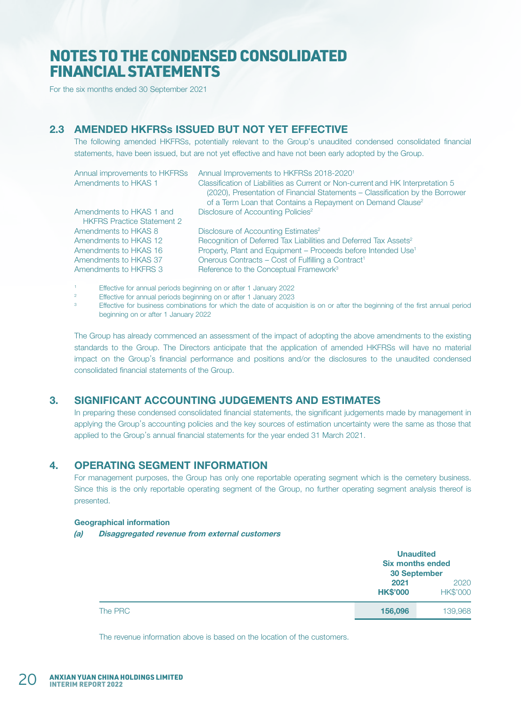For the six months ended 30 September 2021

### 2.3 AMENDED HKFRSs ISSUED BUT NOT YET EFFECTIVE

The following amended HKFRSs, potentially relevant to the Group's unaudited condensed consolidated financial statements, have been issued, but are not yet effective and have not been early adopted by the Group.

| Annual improvements to HKFRSs     | Annual Improvements to HKFRSs 2018-2020 <sup>1</sup>                                                                                                             |
|-----------------------------------|------------------------------------------------------------------------------------------------------------------------------------------------------------------|
| Amendments to HKAS 1              | Classification of Liabilities as Current or Non-current and HK Interpretation 5<br>(2020), Presentation of Financial Statements – Classification by the Borrower |
|                                   | of a Term Loan that Contains a Repayment on Demand Clause <sup>2</sup>                                                                                           |
| Amendments to HKAS 1 and          | Disclosure of Accounting Policies <sup>2</sup>                                                                                                                   |
| <b>HKFRS Practice Statement 2</b> |                                                                                                                                                                  |
| Amendments to HKAS 8              | Disclosure of Accounting Estimates <sup>2</sup>                                                                                                                  |
| Amendments to HKAS 12             | Recognition of Deferred Tax Liabilities and Deferred Tax Assets <sup>2</sup>                                                                                     |
| Amendments to HKAS 16             | Property, Plant and Equipment - Proceeds before Intended Use <sup>1</sup>                                                                                        |
| Amendments to HKAS 37             | Onerous Contracts - Cost of Fulfilling a Contract <sup>1</sup>                                                                                                   |
| Amendments to HKFRS 3             | Reference to the Conceptual Framework <sup>3</sup>                                                                                                               |
|                                   |                                                                                                                                                                  |

1 Effective for annual periods beginning on or after 1 January 2022

- $\overline{2}$ Effective for annual periods beginning on or after 1 January 2023
- 3 Effective for business combinations for which the date of acquisition is on or after the beginning of the first annual period beginning on or after 1 January 2022

The Group has already commenced an assessment of the impact of adopting the above amendments to the existing standards to the Group. The Directors anticipate that the application of amended HKFRSs will have no material impact on the Group's financial performance and positions and/or the disclosures to the unaudited condensed consolidated financial statements of the Group.

### 3. SIGNIFICANT ACCOUNTING JUDGEMENTS AND ESTIMATES

In preparing these condensed consolidated financial statements, the significant judgements made by management in applying the Group's accounting policies and the key sources of estimation uncertainty were the same as those that applied to the Group's annual financial statements for the year ended 31 March 2021.

### 4. OPERATING SEGMENT INFORMATION

For management purposes, the Group has only one reportable operating segment which is the cemetery business. Since this is the only reportable operating segment of the Group, no further operating segment analysis thereof is presented.

#### Geographical information

(a) Disaggregated revenue from external customers

|         |                         | <b>Unaudited</b><br><b>Six months ended</b><br><b>30 September</b> |  |
|---------|-------------------------|--------------------------------------------------------------------|--|
|         | 2021<br><b>HK\$'000</b> | 2020<br><b>HK\$'000</b>                                            |  |
| The PRC | 156,096                 | 139,968                                                            |  |

The revenue information above is based on the location of the customers.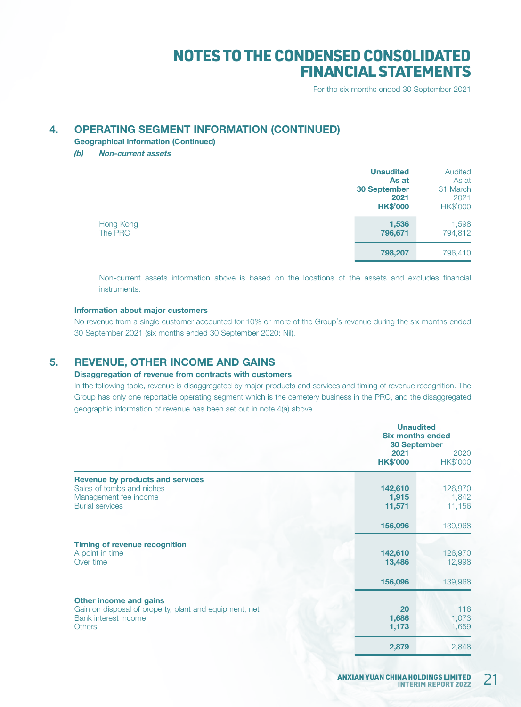For the six months ended 30 September 2021

### 4. OPERATING SEGMENT INFORMATION (CONTINUED)

Geographical information (Continued)

(b) Non-current assets

|                      | <b>Unaudited</b><br>As at<br><b>30 September</b><br>2021<br><b>HK\$'000</b> | Audited<br>As at<br>31 March<br>2021<br>HK\$'000 |
|----------------------|-----------------------------------------------------------------------------|--------------------------------------------------|
| Hong Kong<br>The PRC | 1,536<br>796,671                                                            | 1,598<br>794,812                                 |
|                      | 798,207                                                                     | 796,410                                          |

Non-current assets information above is based on the locations of the assets and excludes financial instruments.

#### Information about major customers

No revenue from a single customer accounted for 10% or more of the Group's revenue during the six months ended 30 September 2021 (six months ended 30 September 2020: Nil).

## 5. REVENUE, OTHER INCOME AND GAINS

#### Disaggregation of revenue from contracts with customers

In the following table, revenue is disaggregated by major products and services and timing of revenue recognition. The Group has only one reportable operating segment which is the cemetery business in the PRC, and the disaggregated geographic information of revenue has been set out in note 4(a) above.

|                                                                                                                           | <b>Unaudited</b><br><b>Six months ended</b><br><b>30 September</b><br>2021<br><b>HK\$'000</b> | 2020<br><b>HK\$'000</b>    |
|---------------------------------------------------------------------------------------------------------------------------|-----------------------------------------------------------------------------------------------|----------------------------|
| <b>Revenue by products and services</b><br>Sales of tombs and niches<br>Management fee income<br><b>Burial services</b>   | 142,610<br>1,915<br>11,571                                                                    | 126,970<br>1,842<br>11,156 |
|                                                                                                                           | 156,096                                                                                       | 139,968                    |
| <b>Timing of revenue recognition</b><br>A point in time<br>Over time                                                      | 142,610<br>13,486                                                                             | 126,970<br>12,998          |
|                                                                                                                           | 156,096                                                                                       | 139,968                    |
| Other income and gains<br>Gain on disposal of property, plant and equipment, net<br>Bank interest income<br><b>Others</b> | 20<br>1,686<br>1,173                                                                          | 116<br>1,073<br>1,659      |
|                                                                                                                           | 2,879                                                                                         | 2,848                      |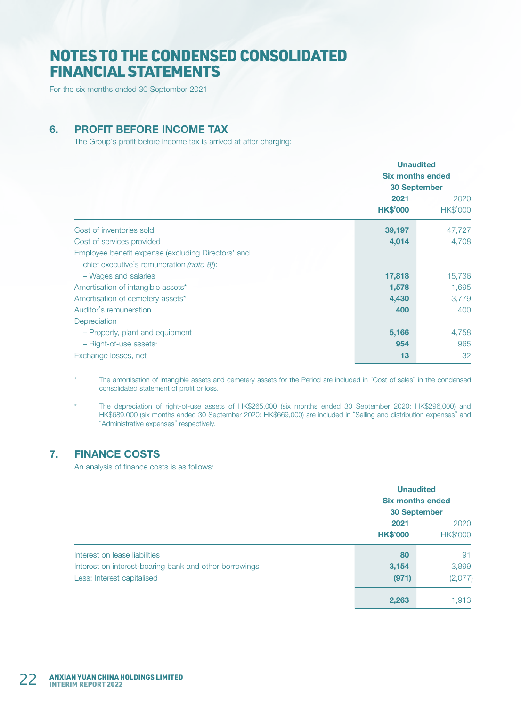For the six months ended 30 September 2021

### 6. PROFIT BEFORE INCOME TAX

The Group's profit before income tax is arrived at after charging:

|                                                                                                                           | 2021<br><b>HK\$'000</b> | <b>Unaudited</b><br><b>Six months ended</b><br><b>30 September</b><br>2020<br>HK\$'000 |
|---------------------------------------------------------------------------------------------------------------------------|-------------------------|----------------------------------------------------------------------------------------|
| Cost of inventories sold                                                                                                  | 39,197                  | 47,727                                                                                 |
| Cost of services provided                                                                                                 | 4,014                   | 4,708                                                                                  |
| Employee benefit expense (excluding Directors' and<br>chief executive's remuneration (note $8$ ):<br>- Wages and salaries | 17,818                  | 15,736                                                                                 |
| Amortisation of intangible assets*                                                                                        | 1,578                   | 1,695                                                                                  |
| Amortisation of cemetery assets*                                                                                          | 4,430                   | 3,779                                                                                  |
| Auditor's remuneration<br>Depreciation                                                                                    | 400                     | 400                                                                                    |
| - Property, plant and equipment                                                                                           | 5,166                   | 4,758                                                                                  |
| $-$ Right-of-use assets#                                                                                                  | 954                     | 965                                                                                    |
| Exchange losses, net                                                                                                      | 13                      | 32                                                                                     |

The amortisation of intangible assets and cemetery assets for the Period are included in "Cost of sales" in the condensed consolidated statement of profit or loss.

# The depreciation of right-of-use assets of HK\$265,000 (six months ended 30 September 2020: HK\$296,000) and HK\$689,000 (six months ended 30 September 2020: HK\$669,000) are included in "Selling and distribution expenses" and "Administrative expenses" respectively.

## 7. FINANCE COSTS

An analysis of finance costs is as follows:

|                                                                                                                       |                         | <b>Unaudited</b><br><b>Six months ended</b><br><b>30 September</b> |  |
|-----------------------------------------------------------------------------------------------------------------------|-------------------------|--------------------------------------------------------------------|--|
|                                                                                                                       | 2021<br><b>HK\$'000</b> | 2020<br><b>HK\$'000</b>                                            |  |
| Interest on lease liabilities<br>Interest on interest-bearing bank and other borrowings<br>Less: Interest capitalised | 80<br>3,154<br>(971)    | 91<br>3,899<br>(2,077)                                             |  |
|                                                                                                                       | 2,263                   | 1.913                                                              |  |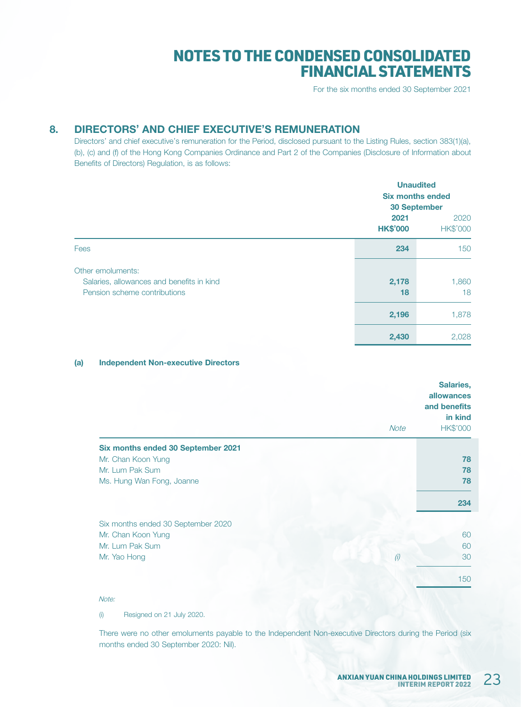For the six months ended 30 September 2021

## 8. DIRECTORS' AND CHIEF EXECUTIVE'S REMUNERATION

Directors' and chief executive's remuneration for the Period, disclosed pursuant to the Listing Rules, section 383(1)(a), (b), (c) and (f) of the Hong Kong Companies Ordinance and Part 2 of the Companies (Disclosure of Information about Benefits of Directors) Regulation, is as follows:

|                                                                                                |                         | <b>Unaudited</b><br><b>Six months ended</b><br><b>30 September</b> |  |
|------------------------------------------------------------------------------------------------|-------------------------|--------------------------------------------------------------------|--|
|                                                                                                | 2021<br><b>HK\$'000</b> | 2020<br>HK\$'000                                                   |  |
| Fees                                                                                           | 234                     | 150                                                                |  |
| Other emoluments:<br>Salaries, allowances and benefits in kind<br>Pension scheme contributions | 2,178<br>18             | 1,860<br>18                                                        |  |
|                                                                                                | 2,196                   | 1,878                                                              |  |
|                                                                                                | 2,430                   | 2,028                                                              |  |

#### (a) Independent Non-executive Directors

|                                    | <b>Note</b> | Salaries,<br>allowances<br>and benefits<br>in kind<br><b>HK\$'000</b> |
|------------------------------------|-------------|-----------------------------------------------------------------------|
| Six months ended 30 September 2021 |             |                                                                       |
| Mr. Chan Koon Yung                 |             | 78                                                                    |
| Mr. Lum Pak Sum                    |             | 78                                                                    |
| Ms. Hung Wan Fong, Joanne          |             | 78                                                                    |
|                                    |             | 234                                                                   |
|                                    |             |                                                                       |
| Six months ended 30 September 2020 |             |                                                                       |
| Mr. Chan Koon Yung                 |             | 60                                                                    |
| Mr. Lum Pak Sum                    |             | 60                                                                    |
| Mr. Yao Hong                       | (i)         | 30                                                                    |
|                                    |             | 150                                                                   |

Note:

(i) Resigned on 21 July 2020.

There were no other emoluments payable to the Independent Non-executive Directors during the Period (six months ended 30 September 2020: Nil).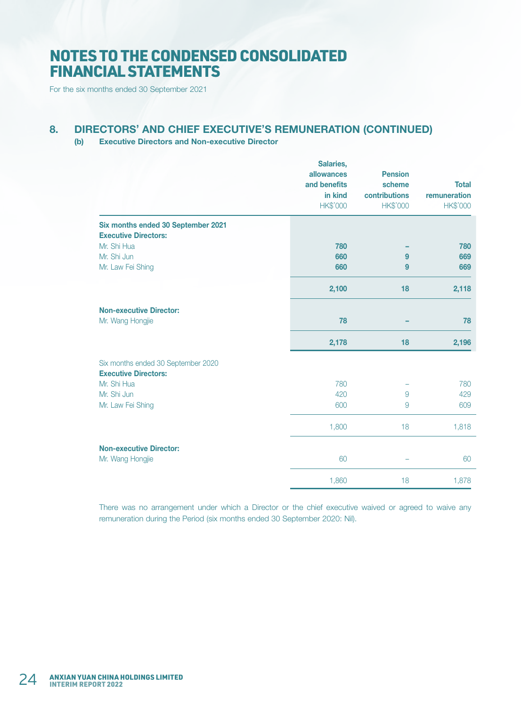For the six months ended 30 September 2021

## 8. DIRECTORS' AND CHIEF EXECUTIVE'S REMUNERATION (CONTINUED)

#### (b) Executive Directors and Non-executive Director

|                                                                   | Salaries,<br>allowances<br>and benefits<br>in kind<br>HK\$'000 | <b>Pension</b><br>scheme<br>contributions<br><b>HK\$'000</b> | <b>Total</b><br>remuneration<br><b>HK\$'000</b> |
|-------------------------------------------------------------------|----------------------------------------------------------------|--------------------------------------------------------------|-------------------------------------------------|
| Six months ended 30 September 2021<br><b>Executive Directors:</b> |                                                                |                                                              |                                                 |
| Mr. Shi Hua                                                       | 780                                                            |                                                              | 780                                             |
| Mr. Shi Jun                                                       | 660                                                            | 9                                                            | 669                                             |
| Mr. Law Fei Shing                                                 | 660                                                            | 9                                                            | 669                                             |
|                                                                   | 2,100                                                          | 18                                                           | 2,118                                           |
| <b>Non-executive Director:</b>                                    |                                                                |                                                              |                                                 |
| Mr. Wang Hongjie                                                  | 78                                                             |                                                              | 78                                              |
|                                                                   | 2,178                                                          | 18                                                           | 2,196                                           |
| Six months ended 30 September 2020<br><b>Executive Directors:</b> |                                                                |                                                              |                                                 |
| Mr. Shi Hua                                                       | 780                                                            |                                                              | 780                                             |
| Mr. Shi Jun                                                       | 420                                                            | 9                                                            | 429                                             |
| Mr. Law Fei Shing                                                 | 600                                                            | 9                                                            | 609                                             |
|                                                                   | 1,800                                                          | 18                                                           | 1,818                                           |
| <b>Non-executive Director:</b>                                    |                                                                |                                                              |                                                 |
| Mr. Wang Hongjie                                                  | 60                                                             | $\overline{\phantom{0}}$                                     | 60                                              |
|                                                                   | 1,860                                                          | 18                                                           | 1,878                                           |

There was no arrangement under which a Director or the chief executive waived or agreed to waive any remuneration during the Period (six months ended 30 September 2020: Nil).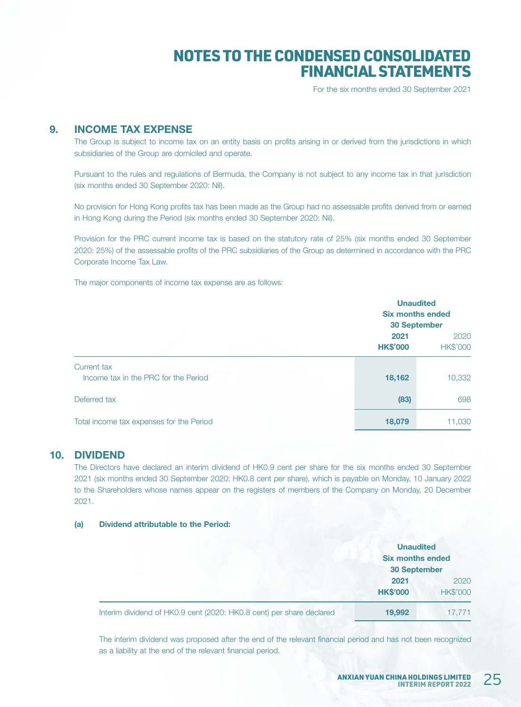For the six months ended 30 September 2021

### 9. INCOME TAX EXPENSE

The Group is subject to income tax on an entity basis on profits arising in or derived from the jurisdictions in which subsidiaries of the Group are domiciled and operate.

Pursuant to the rules and regulations of Bermuda, the Company is not subject to any income tax in that jurisdiction (six months ended 30 September 2020: Nil).

No provision for Hong Kong profits tax has been made as the Group had no assessable profits derived from or earned in Hong Kong during the Period (six months ended 30 September 2020: Nil).

Provision for the PRC current income tax is based on the statutory rate of 25% (six months ended 30 September 2020: 25%) of the assessable profits of the PRC subsidiaries of the Group as determined in accordance with the PRC Corporate Income Tax Law.

The major components of income tax expense are as follows:

|                                                     | <b>Unaudited</b><br><b>Six months ended</b><br><b>30 September</b> |                         |
|-----------------------------------------------------|--------------------------------------------------------------------|-------------------------|
|                                                     | 2021<br><b>HK\$'000</b>                                            | 2020<br><b>HK\$'000</b> |
| Current tax<br>Income tax in the PRC for the Period | 18,162                                                             | 10,332                  |
| Deferred tax                                        | (83)                                                               | 698                     |
| Total income tax expenses for the Period            | 18,079                                                             | 11,030                  |

#### 10. DIVIDEND

The Directors have declared an interim dividend of HK0.9 cent per share for the six months ended 30 September 2021 (six months ended 30 September 2020: HK0.8 cent per share), which is payable on Monday, 10 January 2022 to the Shareholders whose names appear on the registers of members of the Company on Monday, 20 December 2021.

#### (a) Dividend attributable to the Period:

|                                                                      | <b>Unaudited</b><br><b>Six months ended</b><br><b>30 September</b> |                         |
|----------------------------------------------------------------------|--------------------------------------------------------------------|-------------------------|
|                                                                      | 2021<br><b>HK\$'000</b>                                            | 2020<br><b>HK\$'000</b> |
| Interim dividend of HK0.9 cent (2020: HK0.8 cent) per share declared | 19,992                                                             | 17.771                  |

The interim dividend was proposed after the end of the relevant financial period and has not been recognized as a liability at the end of the relevant financial period.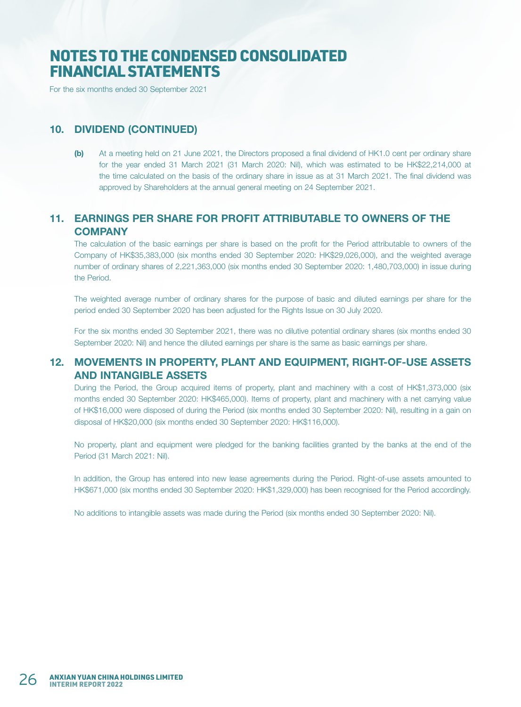For the six months ended 30 September 2021

### 10. DIVIDEND (CONTINUED)

(b) At a meeting held on 21 June 2021, the Directors proposed a final dividend of HK1.0 cent per ordinary share for the year ended 31 March 2021 (31 March 2020: Nil), which was estimated to be HK\$22,214,000 at the time calculated on the basis of the ordinary share in issue as at 31 March 2021. The final dividend was approved by Shareholders at the annual general meeting on 24 September 2021.

## 11. EARNINGS PER SHARE FOR PROFIT ATTRIBUTABLE TO OWNERS OF THE **COMPANY**

The calculation of the basic earnings per share is based on the profit for the Period attributable to owners of the Company of HK\$35,383,000 (six months ended 30 September 2020: HK\$29,026,000), and the weighted average number of ordinary shares of 2,221,363,000 (six months ended 30 September 2020: 1,480,703,000) in issue during the Period.

The weighted average number of ordinary shares for the purpose of basic and diluted earnings per share for the period ended 30 September 2020 has been adjusted for the Rights Issue on 30 July 2020.

For the six months ended 30 September 2021, there was no dilutive potential ordinary shares (six months ended 30 September 2020: Nil) and hence the diluted earnings per share is the same as basic earnings per share.

### 12. MOVEMENTS IN PROPERTY, PLANT AND EQUIPMENT, RIGHT-OF-USE ASSETS AND INTANGIBLE ASSETS

During the Period, the Group acquired items of property, plant and machinery with a cost of HK\$1,373,000 (six months ended 30 September 2020: HK\$465,000). Items of property, plant and machinery with a net carrying value of HK\$16,000 were disposed of during the Period (six months ended 30 September 2020: Nil), resulting in a gain on disposal of HK\$20,000 (six months ended 30 September 2020: HK\$116,000).

No property, plant and equipment were pledged for the banking facilities granted by the banks at the end of the Period (31 March 2021: Nil).

In addition, the Group has entered into new lease agreements during the Period. Right-of-use assets amounted to HK\$671,000 (six months ended 30 September 2020: HK\$1,329,000) has been recognised for the Period accordingly.

No additions to intangible assets was made during the Period (six months ended 30 September 2020: Nil).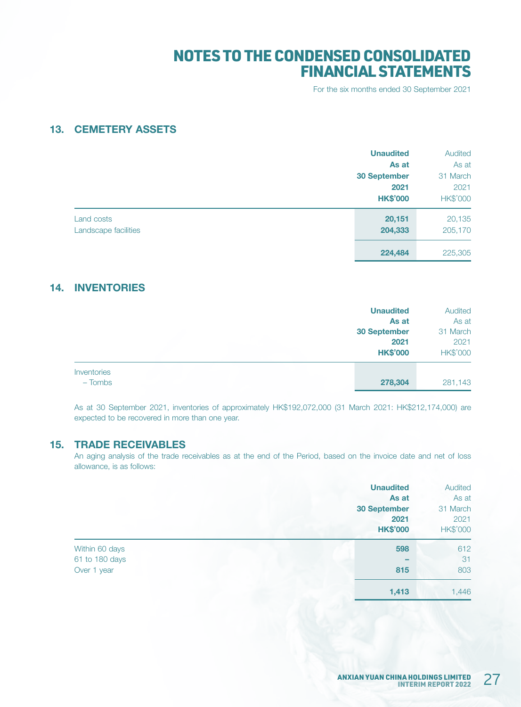For the six months ended 30 September 2021

### 13. CEMETERY ASSETS

|                      | <b>Unaudited</b>    | Audited         |
|----------------------|---------------------|-----------------|
|                      | As at               | As at           |
|                      | <b>30 September</b> | 31 March        |
|                      | 2021                | 2021            |
|                      | <b>HK\$'000</b>     | <b>HK\$'000</b> |
| Land costs           | 20,151              | 20,135          |
| Landscape facilities | 204,333             | 205,170         |
|                      | 224,484             | 225,305         |

## 14. INVENTORIES

|                          | <b>Unaudited</b><br>As at<br><b>30 September</b><br>2021<br><b>HK\$'000</b> | Audited<br>As at<br>31 March<br>2021<br>HK\$'000 |
|--------------------------|-----------------------------------------------------------------------------|--------------------------------------------------|
| Inventories<br>$-$ Tombs | 278,304                                                                     | 281,143                                          |

As at 30 September 2021, inventories of approximately HK\$192,072,000 (31 March 2021: HK\$212,174,000) are expected to be recovered in more than one year.

#### 15. TRADE RECEIVABLES

An aging analysis of the trade receivables as at the end of the Period, based on the invoice date and net of loss allowance, is as follows:

|                | <b>Unaudited</b><br>As at<br><b>30 September</b><br>2021 | Audited<br>As at<br>31 March<br>2021 |
|----------------|----------------------------------------------------------|--------------------------------------|
|                | <b>HK\$'000</b>                                          | <b>HK\$'000</b>                      |
| Within 60 days | 598                                                      | 612                                  |
| 61 to 180 days |                                                          | 31                                   |
| Over 1 year    | 815                                                      | 803                                  |
|                | 1,413                                                    | 1,446                                |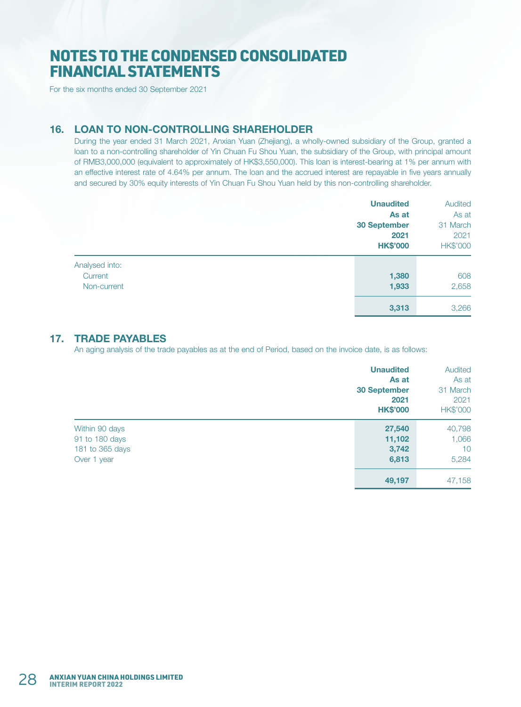For the six months ended 30 September 2021

### 16. LOAN TO NON-CONTROLLING SHAREHOLDER

During the year ended 31 March 2021, Anxian Yuan (Zhejiang), a wholly-owned subsidiary of the Group, granted a loan to a non-controlling shareholder of Yin Chuan Fu Shou Yuan, the subsidiary of the Group, with principal amount of RMB3,000,000 (equivalent to approximately of HK\$3,550,000). This loan is interest-bearing at 1% per annum with an effective interest rate of 4.64% per annum. The loan and the accrued interest are repayable in five years annually and secured by 30% equity interests of Yin Chuan Fu Shou Yuan held by this non-controlling shareholder.

|                | <b>Unaudited</b>    | Audited         |
|----------------|---------------------|-----------------|
|                | As at               | As at           |
|                | <b>30 September</b> | 31 March        |
|                | 2021                | 2021            |
|                | <b>HK\$'000</b>     | <b>HK\$'000</b> |
| Analysed into: |                     |                 |
| Current        | 1,380               | 608             |
| Non-current    | 1,933               | 2,658           |
|                | 3,313               | 3,266           |

### 17. TRADE PAYABLES

An aging analysis of the trade payables as at the end of Period, based on the invoice date, is as follows:

|                 | <b>Unaudited</b>    | Audited  |
|-----------------|---------------------|----------|
|                 | As at               | As at    |
|                 | <b>30 September</b> | 31 March |
|                 | 2021                | 2021     |
|                 | <b>HK\$'000</b>     | HK\$'000 |
| Within 90 days  | 27,540              | 40,798   |
| 91 to 180 days  | 11,102              | 1,066    |
| 181 to 365 days | 3,742               | 10       |
| Over 1 year     | 6,813               | 5,284    |
|                 | 49,197              | 47,158   |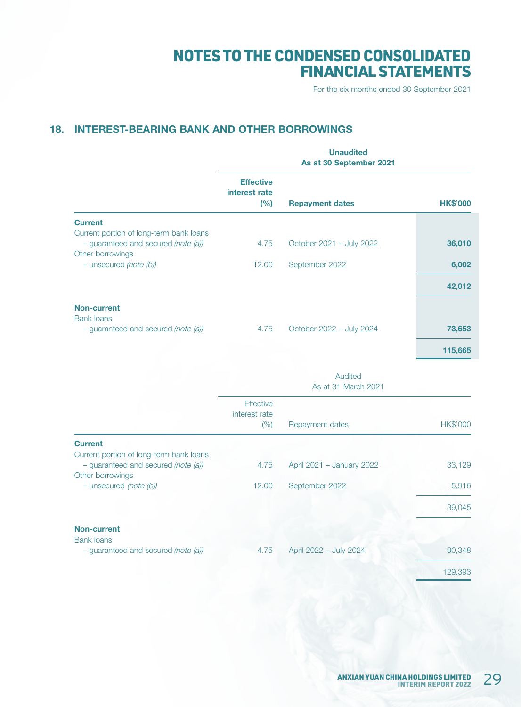For the six months ended 30 September 2021

## 18. INTEREST-BEARING BANK AND OTHER BORROWINGS

|                                                                                                    | <b>Unaudited</b><br>As at 30 September 2021 |                                |                 |
|----------------------------------------------------------------------------------------------------|---------------------------------------------|--------------------------------|-----------------|
|                                                                                                    | <b>Effective</b><br>interest rate<br>(%)    | <b>Repayment dates</b>         | <b>HK\$'000</b> |
| <b>Current</b>                                                                                     |                                             |                                |                 |
| Current portion of long-term bank loans<br>- guaranteed and secured (note (a))<br>Other borrowings | 4.75                                        | October 2021 - July 2022       | 36,010          |
| - unsecured (note (b))                                                                             | 12.00                                       | September 2022                 | 6,002           |
|                                                                                                    |                                             |                                | 42,012          |
| <b>Non-current</b><br><b>Bank loans</b>                                                            |                                             |                                |                 |
| - guaranteed and secured (note (a))                                                                | 4.75                                        | October 2022 - July 2024       | 73,653          |
|                                                                                                    |                                             |                                | 115,665         |
|                                                                                                    |                                             | Audited<br>As at 31 March 2021 |                 |
|                                                                                                    | <b>Effective</b><br>interest rate           |                                |                 |
|                                                                                                    | (% )                                        | Repayment dates                | <b>HK\$'000</b> |
| <b>Current</b><br>Current portion of long-term bank loans                                          |                                             |                                |                 |
| - guaranteed and secured (note (a))<br>Other borrowings                                            | 4.75                                        | April 2021 - January 2022      | 33,129          |
| - unsecured (note (b))                                                                             | 12.00                                       | September 2022                 | 5,916           |
|                                                                                                    |                                             |                                | 39,045          |
| <b>Non-current</b>                                                                                 |                                             |                                |                 |
| <b>Bank loans</b><br>- guaranteed and secured (note (a))                                           | 4.75                                        | April 2022 - July 2024         | 90,348          |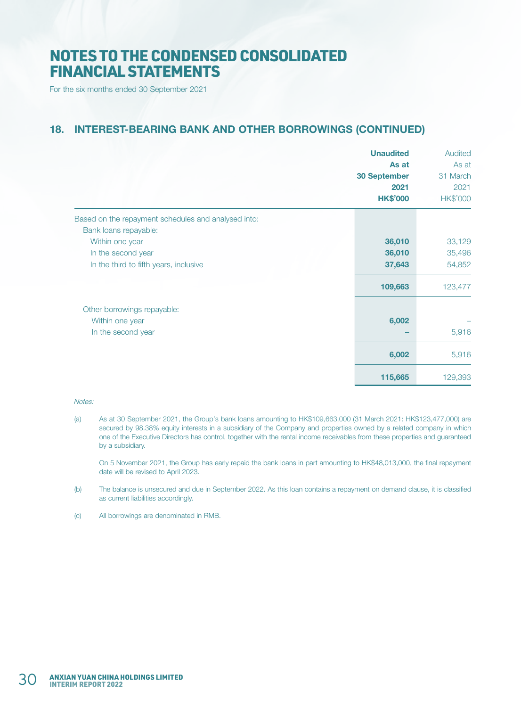For the six months ended 30 September 2021

## 18. INTEREST-BEARING BANK AND OTHER BORROWINGS (CONTINUED)

|                                                                              | <b>Unaudited</b><br>As at<br><b>30 September</b><br>2021<br><b>HK\$'000</b> | Audited<br>As at<br>31 March<br>2021<br><b>HK\$'000</b> |
|------------------------------------------------------------------------------|-----------------------------------------------------------------------------|---------------------------------------------------------|
| Based on the repayment schedules and analysed into:<br>Bank loans repayable: |                                                                             |                                                         |
| Within one year                                                              | 36,010                                                                      | 33,129                                                  |
| In the second year                                                           | 36,010                                                                      | 35,496                                                  |
| In the third to fifth years, inclusive                                       | 37,643                                                                      | 54,852                                                  |
|                                                                              | 109,663                                                                     | 123,477                                                 |
| Other borrowings repayable:                                                  |                                                                             |                                                         |
| Within one year                                                              | 6,002                                                                       |                                                         |
| In the second year                                                           |                                                                             | 5,916                                                   |
|                                                                              | 6,002                                                                       | 5,916                                                   |
|                                                                              | 115,665                                                                     | 129,393                                                 |

#### Notes:

(a) As at 30 September 2021, the Group's bank loans amounting to HK\$109,663,000 (31 March 2021: HK\$123,477,000) are secured by 98.38% equity interests in a subsidiary of the Company and properties owned by a related company in which one of the Executive Directors has control, together with the rental income receivables from these properties and guaranteed by a subsidiary.

On 5 November 2021, the Group has early repaid the bank loans in part amounting to HK\$48,013,000, the final repayment date will be revised to April 2023.

- (b) The balance is unsecured and due in September 2022. As this loan contains a repayment on demand clause, it is classified as current liabilities accordingly.
- (c) All borrowings are denominated in RMB.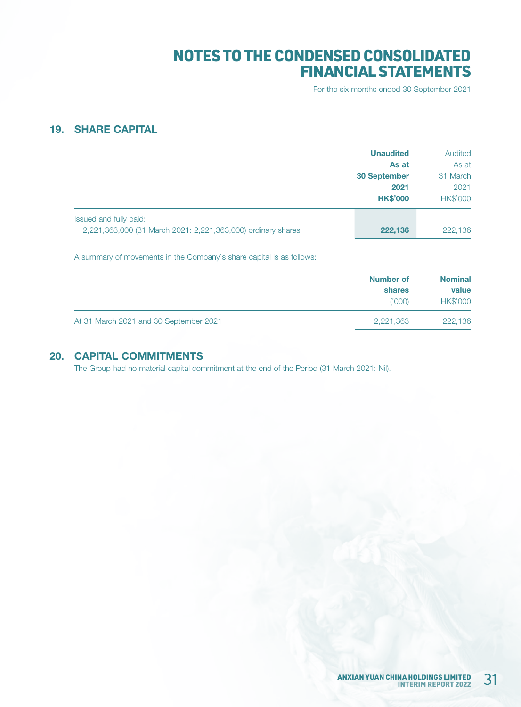For the six months ended 30 September 2021

## 19. SHARE CAPITAL

|                                                                                        | <b>Unaudited</b><br>As at<br><b>30 September</b><br>2021<br><b>HK\$'000</b> | Audited<br>As at<br>31 March<br>2021<br><b>HK\$'000</b> |
|----------------------------------------------------------------------------------------|-----------------------------------------------------------------------------|---------------------------------------------------------|
| Issued and fully paid:<br>2,221,363,000 (31 March 2021: 2,221,363,000) ordinary shares | 222,136                                                                     | 222,136                                                 |

A summary of movements in the Company's share capital is as follows:

|                                        | Number of<br>shares<br>(1000) | <b>Nominal</b><br>value<br><b>HK\$'000</b> |
|----------------------------------------|-------------------------------|--------------------------------------------|
| At 31 March 2021 and 30 September 2021 | 2,221,363                     | 222,136                                    |

## 20. CAPITAL COMMITMENTS

The Group had no material capital commitment at the end of the Period (31 March 2021: Nil).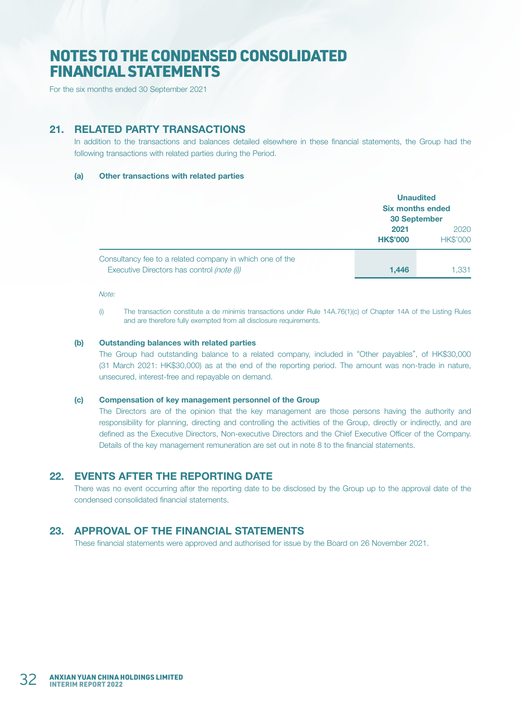For the six months ended 30 September 2021

## 21. RELATED PARTY TRANSACTIONS

In addition to the transactions and balances detailed elsewhere in these financial statements, the Group had the following transactions with related parties during the Period.

#### (a) Other transactions with related parties

|                                                                                                        |                         | <b>Unaudited</b><br><b>Six months ended</b><br><b>30 September</b> |  |
|--------------------------------------------------------------------------------------------------------|-------------------------|--------------------------------------------------------------------|--|
|                                                                                                        | 2021<br><b>HK\$'000</b> | 2020<br><b>HK\$'000</b>                                            |  |
| Consultancy fee to a related company in which one of the<br>Executive Directors has control (note (i)) | 1.446                   | 1.331                                                              |  |

#### Note:

(i) The transaction constitute a de minimis transactions under Rule 14A.76(1)(c) of Chapter 14A of the Listing Rules and are therefore fully exempted from all disclosure requirements.

#### (b) Outstanding balances with related parties

The Group had outstanding balance to a related company, included in "Other payables", of HK\$30,000 (31 March 2021: HK\$30,000) as at the end of the reporting period. The amount was non-trade in nature, unsecured, interest-free and repayable on demand.

#### (c) Compensation of key management personnel of the Group

The Directors are of the opinion that the key management are those persons having the authority and responsibility for planning, directing and controlling the activities of the Group, directly or indirectly, and are defined as the Executive Directors, Non-executive Directors and the Chief Executive Officer of the Company. Details of the key management remuneration are set out in note 8 to the financial statements.

### 22. EVENTS AFTER THE REPORTING DATE

There was no event occurring after the reporting date to be disclosed by the Group up to the approval date of the condensed consolidated financial statements.

### 23. APPROVAL OF THE FINANCIAL STATEMENTS

These financial statements were approved and authorised for issue by the Board on 26 November 2021.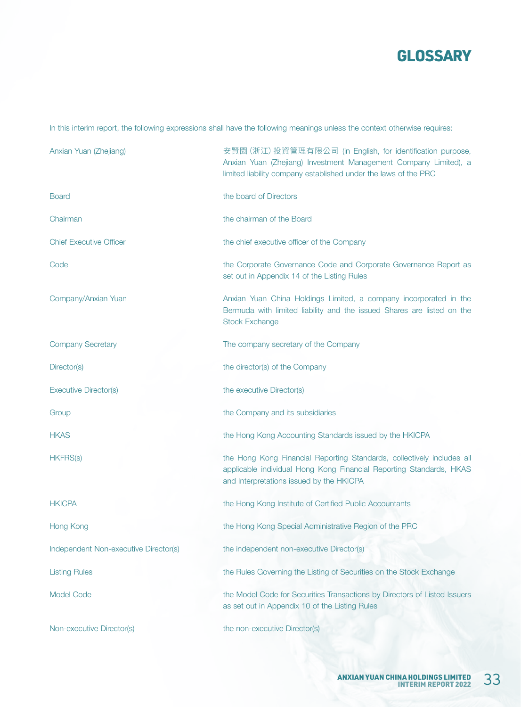

In this interim report, the following expressions shall have the following meanings unless the context otherwise requires:

| Anxian Yuan (Zhejiang)                | 安賢園 (浙江) 投資管理有限公司 (in English, for identification purpose,<br>Anxian Yuan (Zhejiang) Investment Management Company Limited), a<br>limited liability company established under the laws of the PRC |
|---------------------------------------|---------------------------------------------------------------------------------------------------------------------------------------------------------------------------------------------------|
| <b>Board</b>                          | the board of Directors                                                                                                                                                                            |
| Chairman                              | the chairman of the Board                                                                                                                                                                         |
| <b>Chief Executive Officer</b>        | the chief executive officer of the Company                                                                                                                                                        |
| Code                                  | the Corporate Governance Code and Corporate Governance Report as<br>set out in Appendix 14 of the Listing Rules                                                                                   |
| Company/Anxian Yuan                   | Anxian Yuan China Holdings Limited, a company incorporated in the<br>Bermuda with limited liability and the issued Shares are listed on the<br><b>Stock Exchange</b>                              |
| <b>Company Secretary</b>              | The company secretary of the Company                                                                                                                                                              |
| Director(s)                           | the director(s) of the Company                                                                                                                                                                    |
| <b>Executive Director(s)</b>          | the executive Director(s)                                                                                                                                                                         |
| Group                                 | the Company and its subsidiaries                                                                                                                                                                  |
| <b>HKAS</b>                           | the Hong Kong Accounting Standards issued by the HKICPA                                                                                                                                           |
| <b>HKFRS(s)</b>                       | the Hong Kong Financial Reporting Standards, collectively includes all<br>applicable individual Hong Kong Financial Reporting Standards, HKAS<br>and Interpretations issued by the HKICPA         |
| <b>HKICPA</b>                         | the Hong Kong Institute of Certified Public Accountants                                                                                                                                           |
| Hong Kong                             | the Hong Kong Special Administrative Region of the PRC                                                                                                                                            |
| Independent Non-executive Director(s) | the independent non-executive Director(s)                                                                                                                                                         |
| <b>Listing Rules</b>                  | the Rules Governing the Listing of Securities on the Stock Exchange                                                                                                                               |
| <b>Model Code</b>                     | the Model Code for Securities Transactions by Directors of Listed Issuers<br>as set out in Appendix 10 of the Listing Rules                                                                       |
| Non-executive Director(s)             | the non-executive Director(s)                                                                                                                                                                     |